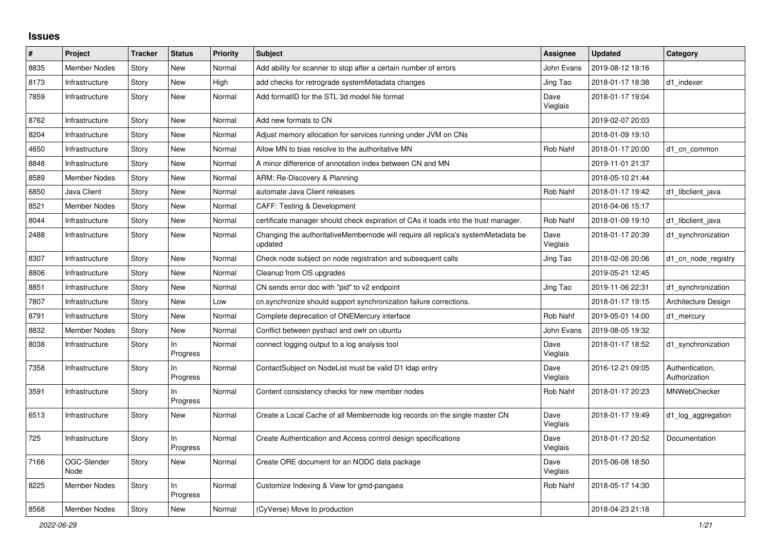## **Issues**

| $\vert$ # | Project             | <b>Tracker</b> | <b>Status</b>   | <b>Priority</b> | <b>Subject</b>                                                                               | <b>Assignee</b>  | <b>Updated</b>   | Category                         |
|-----------|---------------------|----------------|-----------------|-----------------|----------------------------------------------------------------------------------------------|------------------|------------------|----------------------------------|
| 8835      | <b>Member Nodes</b> | Story          | <b>New</b>      | Normal          | Add ability for scanner to stop after a certain number of errors                             | John Evans       | 2019-08-12 19:16 |                                  |
| 8173      | Infrastructure      | Story          | <b>New</b>      | High            | add checks for retrograde systemMetadata changes                                             | Jing Tao         | 2018-01-17 18:38 | d1 indexer                       |
| 7859      | Infrastructure      | Story          | <b>New</b>      | Normal          | Add formatID for the STL 3d model file format                                                | Dave<br>Vieglais | 2018-01-17 19:04 |                                  |
| 8762      | Infrastructure      | Story          | <b>New</b>      | Normal          | Add new formats to CN                                                                        |                  | 2019-02-07 20:03 |                                  |
| 8204      | Infrastructure      | Story          | New             | Normal          | Adjust memory allocation for services running under JVM on CNs                               |                  | 2018-01-09 19:10 |                                  |
| 4650      | Infrastructure      | Story          | New             | Normal          | Allow MN to bias resolve to the authoritative MN                                             | Rob Nahf         | 2018-01-17 20:00 | d1_cn_common                     |
| 8848      | Infrastructure      | Story          | <b>New</b>      | Normal          | A minor difference of annotation index between CN and MN                                     |                  | 2019-11-01 21:37 |                                  |
| 8589      | <b>Member Nodes</b> | Story          | New             | Normal          | ARM: Re-Discovery & Planning                                                                 |                  | 2018-05-10 21:44 |                                  |
| 6850      | Java Client         | Story          | <b>New</b>      | Normal          | automate Java Client releases                                                                | <b>Rob Nahf</b>  | 2018-01-17 19:42 | d1_libclient_java                |
| 8521      | <b>Member Nodes</b> | Story          | <b>New</b>      | Normal          | <b>CAFF: Testing &amp; Development</b>                                                       |                  | 2018-04-06 15:17 |                                  |
| 8044      | Infrastructure      | Story          | New             | Normal          | certificate manager should check expiration of CAs it loads into the trust manager.          | Rob Nahf         | 2018-01-09 19:10 | d1_libclient_java                |
| 2488      | Infrastructure      | Story          | New             | Normal          | Changing the authoritativeMembernode will require all replica's systemMetadata be<br>updated | Dave<br>Vieglais | 2018-01-17 20:39 | d1_synchronization               |
| 8307      | Infrastructure      | Story          | New             | Normal          | Check node subject on node registration and subsequent calls                                 | Jing Tao         | 2018-02-06 20:06 | d1_cn_node_registry              |
| 8806      | Infrastructure      | Story          | <b>New</b>      | Normal          | Cleanup from OS upgrades                                                                     |                  | 2019-05-21 12:45 |                                  |
| 8851      | Infrastructure      | Story          | <b>New</b>      | Normal          | CN sends error doc with "pid" to v2 endpoint                                                 | Jing Tao         | 2019-11-06 22:31 | d1 synchronization               |
| 7807      | Infrastructure      | Story          | <b>New</b>      | Low             | cn.synchronize should support synchronization failure corrections.                           |                  | 2018-01-17 19:15 | Architecture Design              |
| 8791      | Infrastructure      | Story          | New             | Normal          | Complete deprecation of ONEMercury interface                                                 | <b>Rob Nahf</b>  | 2019-05-01 14:00 | d1 mercury                       |
| 8832      | Member Nodes        | Story          | <b>New</b>      | Normal          | Conflict between pyshacl and owlr on ubuntu                                                  | John Evans       | 2019-08-05 19:32 |                                  |
| 8038      | Infrastructure      | Story          | In.<br>Progress | Normal          | connect logging output to a log analysis tool                                                | Dave<br>Vieglais | 2018-01-17 18:52 | d1_synchronization               |
| 7358      | Infrastructure      | Story          | In.<br>Progress | Normal          | ContactSubject on NodeList must be valid D1 Idap entry                                       | Dave<br>Vieglais | 2016-12-21 09:05 | Authentication,<br>Authorization |
| 3591      | Infrastructure      | Story          | In.<br>Progress | Normal          | Content consistency checks for new member nodes                                              | <b>Rob Nahf</b>  | 2018-01-17 20:23 | MNWebChecker                     |
| 6513      | Infrastructure      | Story          | New             | Normal          | Create a Local Cache of all Membernode log records on the single master CN                   | Dave<br>Vieglais | 2018-01-17 19:49 | d1_log_aggregation               |
| 725       | Infrastructure      | Story          | ln<br>Progress  | Normal          | Create Authentication and Access control design specifications                               | Dave<br>Vieglais | 2018-01-17 20:52 | Documentation                    |
| 7166      | OGC-Slender<br>Node | Story          | <b>New</b>      | Normal          | Create ORE document for an NODC data package                                                 | Dave<br>Vieglais | 2015-06-08 18:50 |                                  |
| 8225      | Member Nodes        | Story          | ln<br>Progress  | Normal          | Customize Indexing & View for gmd-pangaea                                                    | Rob Nahf         | 2018-05-17 14:30 |                                  |
| 8568      | <b>Member Nodes</b> | Story          | <b>New</b>      | Normal          | (CyVerse) Move to production                                                                 |                  | 2018-04-23 21:18 |                                  |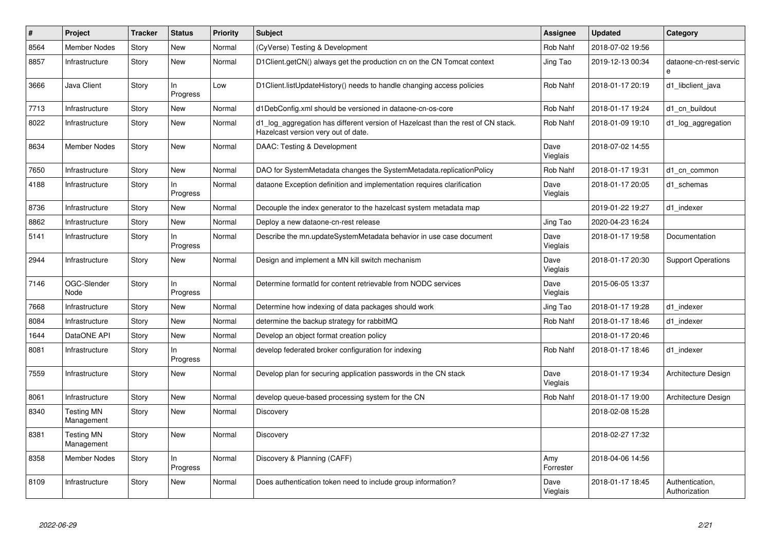| #    | Project                         | <b>Tracker</b> | <b>Status</b>  | <b>Priority</b> | <b>Subject</b>                                                                                                          | <b>Assignee</b>  | <b>Updated</b>   | Category                         |
|------|---------------------------------|----------------|----------------|-----------------|-------------------------------------------------------------------------------------------------------------------------|------------------|------------------|----------------------------------|
| 8564 | <b>Member Nodes</b>             | Story          | <b>New</b>     | Normal          | (CyVerse) Testing & Development                                                                                         | <b>Rob Nahf</b>  | 2018-07-02 19:56 |                                  |
| 8857 | Infrastructure                  | Story          | <b>New</b>     | Normal          | D1Client.getCN() always get the production cn on the CN Tomcat context                                                  | Jing Tao         | 2019-12-13 00:34 | dataone-cn-rest-servic<br>e      |
| 3666 | Java Client                     | Story          | In<br>Progress | Low             | D1Client.listUpdateHistory() needs to handle changing access policies                                                   | Rob Nahf         | 2018-01-17 20:19 | d1 libclient java                |
| 7713 | Infrastructure                  | Story          | New            | Normal          | d1DebConfig.xml should be versioned in dataone-cn-os-core                                                               | Rob Nahf         | 2018-01-17 19:24 | d1 cn buildout                   |
| 8022 | Infrastructure                  | Story          | <b>New</b>     | Normal          | d1 log aggregation has different version of Hazelcast than the rest of CN stack.<br>Hazelcast version very out of date. | Rob Nahf         | 2018-01-09 19:10 | d1_log_aggregation               |
| 8634 | <b>Member Nodes</b>             | Story          | New            | Normal          | DAAC: Testing & Development                                                                                             | Dave<br>Vieglais | 2018-07-02 14:55 |                                  |
| 7650 | Infrastructure                  | Story          | <b>New</b>     | Normal          | DAO for SystemMetadata changes the SystemMetadata.replicationPolicy                                                     | <b>Rob Nahf</b>  | 2018-01-17 19:31 | d1 cn common                     |
| 4188 | Infrastructure                  | Story          | In<br>Progress | Normal          | dataone Exception definition and implementation requires clarification                                                  | Dave<br>Vieglais | 2018-01-17 20:05 | d1 schemas                       |
| 8736 | Infrastructure                  | Story          | <b>New</b>     | Normal          | Decouple the index generator to the hazelcast system metadata map                                                       |                  | 2019-01-22 19:27 | d1_indexer                       |
| 8862 | Infrastructure                  | Story          | <b>New</b>     | Normal          | Deploy a new dataone-cn-rest release                                                                                    | Jing Tao         | 2020-04-23 16:24 |                                  |
| 5141 | Infrastructure                  | Story          | In<br>Progress | Normal          | Describe the mn.updateSystemMetadata behavior in use case document                                                      | Dave<br>Vieglais | 2018-01-17 19:58 | Documentation                    |
| 2944 | Infrastructure                  | Story          | <b>New</b>     | Normal          | Design and implement a MN kill switch mechanism                                                                         | Dave<br>Vieglais | 2018-01-17 20:30 | <b>Support Operations</b>        |
| 7146 | OGC-Slender<br>Node             | Story          | In<br>Progress | Normal          | Determine formatId for content retrievable from NODC services                                                           | Dave<br>Vieglais | 2015-06-05 13:37 |                                  |
| 7668 | Infrastructure                  | Story          | <b>New</b>     | Normal          | Determine how indexing of data packages should work                                                                     | Jing Tao         | 2018-01-17 19:28 | d1 indexer                       |
| 8084 | Infrastructure                  | Story          | <b>New</b>     | Normal          | determine the backup strategy for rabbitMQ                                                                              | Rob Nahf         | 2018-01-17 18:46 | d1 indexer                       |
| 1644 | DataONE API                     | Story          | <b>New</b>     | Normal          | Develop an object format creation policy                                                                                |                  | 2018-01-17 20:46 |                                  |
| 8081 | Infrastructure                  | Story          | In<br>Progress | Normal          | develop federated broker configuration for indexing                                                                     | Rob Nahf         | 2018-01-17 18:46 | d1_indexer                       |
| 7559 | Infrastructure                  | Story          | New            | Normal          | Develop plan for securing application passwords in the CN stack                                                         | Dave<br>Vieglais | 2018-01-17 19:34 | Architecture Design              |
| 8061 | Infrastructure                  | Story          | New            | Normal          | develop queue-based processing system for the CN                                                                        | Rob Nahf         | 2018-01-17 19:00 | Architecture Design              |
| 8340 | <b>Testing MN</b><br>Management | Story          | New            | Normal          | Discovery                                                                                                               |                  | 2018-02-08 15:28 |                                  |
| 8381 | <b>Testing MN</b><br>Management | Story          | New            | Normal          | <b>Discovery</b>                                                                                                        |                  | 2018-02-27 17:32 |                                  |
| 8358 | <b>Member Nodes</b>             | Story          | In<br>Progress | Normal          | Discovery & Planning (CAFF)                                                                                             | Amy<br>Forrester | 2018-04-06 14:56 |                                  |
| 8109 | Infrastructure                  | Story          | <b>New</b>     | Normal          | Does authentication token need to include group information?                                                            | Dave<br>Vieglais | 2018-01-17 18:45 | Authentication,<br>Authorization |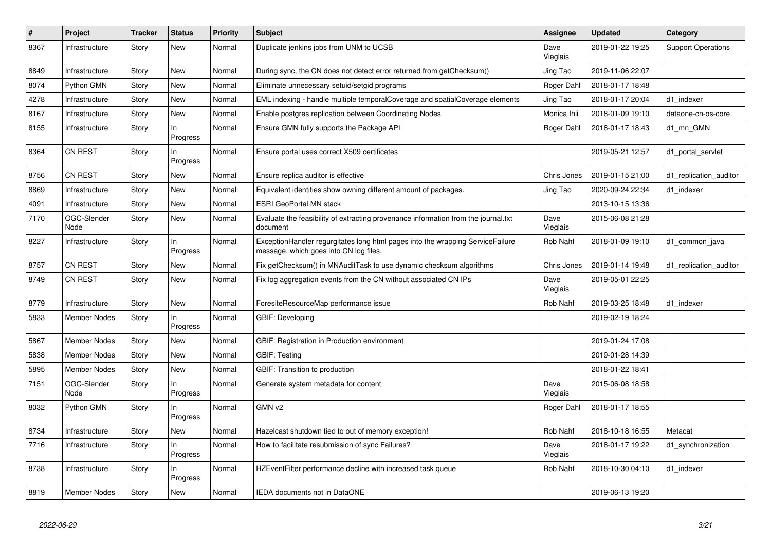| $\#$ | Project             | <b>Tracker</b> | <b>Status</b>   | <b>Priority</b> | <b>Subject</b>                                                                                                           | <b>Assignee</b>  | <b>Updated</b>   | Category                  |
|------|---------------------|----------------|-----------------|-----------------|--------------------------------------------------------------------------------------------------------------------------|------------------|------------------|---------------------------|
| 8367 | Infrastructure      | Story          | <b>New</b>      | Normal          | Duplicate jenkins jobs from UNM to UCSB                                                                                  | Dave<br>Vieglais | 2019-01-22 19:25 | <b>Support Operations</b> |
| 8849 | Infrastructure      | Story          | <b>New</b>      | Normal          | During sync, the CN does not detect error returned from getChecksum()                                                    | Jing Tao         | 2019-11-06 22:07 |                           |
| 8074 | Python GMN          | Story          | <b>New</b>      | Normal          | Eliminate unnecessary setuid/setgid programs                                                                             | Roger Dahl       | 2018-01-17 18:48 |                           |
| 4278 | Infrastructure      | Story          | <b>New</b>      | Normal          | EML indexing - handle multiple temporalCoverage and spatialCoverage elements                                             | Jing Tao         | 2018-01-17 20:04 | d1 indexer                |
| 8167 | Infrastructure      | Story          | <b>New</b>      | Normal          | Enable postgres replication between Coordinating Nodes                                                                   | Monica Ihli      | 2018-01-09 19:10 | dataone-cn-os-core        |
| 8155 | Infrastructure      | Story          | In<br>Progress  | Normal          | Ensure GMN fully supports the Package API                                                                                | Roger Dahl       | 2018-01-17 18:43 | d1 mn GMN                 |
| 8364 | <b>CN REST</b>      | Story          | In.<br>Progress | Normal          | Ensure portal uses correct X509 certificates                                                                             |                  | 2019-05-21 12:57 | d1_portal_servlet         |
| 8756 | CN REST             | Story          | <b>New</b>      | Normal          | Ensure replica auditor is effective                                                                                      | Chris Jones      | 2019-01-15 21:00 | d1_replication_auditor    |
| 8869 | Infrastructure      | Story          | <b>New</b>      | Normal          | Equivalent identities show owning different amount of packages.                                                          | Jing Tao         | 2020-09-24 22:34 | d1 indexer                |
| 4091 | Infrastructure      | Story          | <b>New</b>      | Normal          | <b>ESRI GeoPortal MN stack</b>                                                                                           |                  | 2013-10-15 13:36 |                           |
| 7170 | OGC-Slender<br>Node | Story          | New             | Normal          | Evaluate the feasibility of extracting provenance information from the journal.txt<br>document                           | Dave<br>Vieglais | 2015-06-08 21:28 |                           |
| 8227 | Infrastructure      | Story          | In<br>Progress  | Normal          | ExceptionHandler regurgitates long html pages into the wrapping ServiceFailure<br>message, which goes into CN log files. | Rob Nahf         | 2018-01-09 19:10 | d1_common_java            |
| 8757 | CN REST             | Story          | <b>New</b>      | Normal          | Fix getChecksum() in MNAuditTask to use dynamic checksum algorithms                                                      | Chris Jones      | 2019-01-14 19:48 | d1_replication_auditor    |
| 8749 | <b>CN REST</b>      | Story          | <b>New</b>      | Normal          | Fix log aggregation events from the CN without associated CN IPs                                                         | Dave<br>Vieglais | 2019-05-01 22:25 |                           |
| 8779 | Infrastructure      | Story          | <b>New</b>      | Normal          | ForesiteResourceMap performance issue                                                                                    | <b>Rob Nahf</b>  | 2019-03-25 18:48 | d1 indexer                |
| 5833 | Member Nodes        | Story          | In<br>Progress  | Normal          | GBIF: Developing                                                                                                         |                  | 2019-02-19 18:24 |                           |
| 5867 | <b>Member Nodes</b> | Story          | <b>New</b>      | Normal          | GBIF: Registration in Production environment                                                                             |                  | 2019-01-24 17:08 |                           |
| 5838 | <b>Member Nodes</b> | Story          | <b>New</b>      | Normal          | GBIF: Testing                                                                                                            |                  | 2019-01-28 14:39 |                           |
| 5895 | <b>Member Nodes</b> | Story          | <b>New</b>      | Normal          | GBIF: Transition to production                                                                                           |                  | 2018-01-22 18:41 |                           |
| 7151 | OGC-Slender<br>Node | Story          | In<br>Progress  | Normal          | Generate system metadata for content                                                                                     | Dave<br>Vieglais | 2015-06-08 18:58 |                           |
| 8032 | Python GMN          | Story          | In<br>Progress  | Normal          | GMN v2                                                                                                                   | Roger Dahl       | 2018-01-17 18:55 |                           |
| 8734 | Infrastructure      | Story          | <b>New</b>      | Normal          | Hazelcast shutdown tied to out of memory exception!                                                                      | Rob Nahf         | 2018-10-18 16:55 | Metacat                   |
| 7716 | Infrastructure      | Story          | In<br>Progress  | Normal          | How to facilitate resubmission of sync Failures?                                                                         | Dave<br>Vieglais | 2018-01-17 19:22 | d1_synchronization        |
| 8738 | Infrastructure      | Story          | In<br>Progress  | Normal          | HZEventFilter performance decline with increased task queue                                                              | Rob Nahf         | 2018-10-30 04:10 | d1 indexer                |
| 8819 | <b>Member Nodes</b> | Story          | <b>New</b>      | Normal          | IEDA documents not in DataONE                                                                                            |                  | 2019-06-13 19:20 |                           |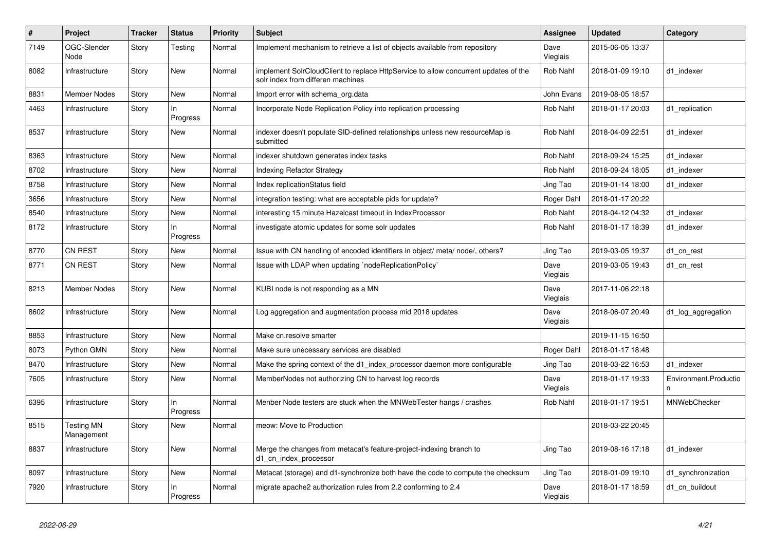| #    | <b>Project</b>                  | <b>Tracker</b> | <b>Status</b>  | <b>Priority</b> | <b>Subject</b>                                                                                                           | <b>Assignee</b>  | <b>Updated</b>   | Category              |
|------|---------------------------------|----------------|----------------|-----------------|--------------------------------------------------------------------------------------------------------------------------|------------------|------------------|-----------------------|
| 7149 | OGC-Slender<br>Node             | Story          | Testing        | Normal          | Implement mechanism to retrieve a list of objects available from repository                                              | Dave<br>Vieglais | 2015-06-05 13:37 |                       |
| 8082 | Infrastructure                  | Story          | <b>New</b>     | Normal          | implement SolrCloudClient to replace HttpService to allow concurrent updates of the<br>solr index from differen machines | Rob Nahf         | 2018-01-09 19:10 | d1 indexer            |
| 8831 | <b>Member Nodes</b>             | Story          | <b>New</b>     | Normal          | Import error with schema org.data                                                                                        | John Evans       | 2019-08-05 18:57 |                       |
| 4463 | Infrastructure                  | Story          | ln<br>Progress | Normal          | Incorporate Node Replication Policy into replication processing                                                          | Rob Nahf         | 2018-01-17 20:03 | d1 replication        |
| 8537 | Infrastructure                  | Story          | New            | Normal          | indexer doesn't populate SID-defined relationships unless new resourceMap is<br>submitted                                | Rob Nahf         | 2018-04-09 22:51 | d1_indexer            |
| 8363 | Infrastructure                  | Story          | <b>New</b>     | Normal          | indexer shutdown generates index tasks                                                                                   | Rob Nahf         | 2018-09-24 15:25 | d1_indexer            |
| 8702 | Infrastructure                  | Story          | <b>New</b>     | Normal          | <b>Indexing Refactor Strategy</b>                                                                                        | <b>Rob Nahf</b>  | 2018-09-24 18:05 | d1 indexer            |
| 8758 | Infrastructure                  | Story          | <b>New</b>     | Normal          | Index replicationStatus field                                                                                            | Jing Tao         | 2019-01-14 18:00 | d1 indexer            |
| 3656 | Infrastructure                  | Story          | <b>New</b>     | Normal          | integration testing: what are acceptable pids for update?                                                                | Roger Dahl       | 2018-01-17 20:22 |                       |
| 8540 | Infrastructure                  | Story          | <b>New</b>     | Normal          | interesting 15 minute Hazelcast timeout in IndexProcessor                                                                | Rob Nahf         | 2018-04-12 04:32 | d1_indexer            |
| 8172 | Infrastructure                  | Story          | ln<br>Progress | Normal          | investigate atomic updates for some solr updates                                                                         | Rob Nahf         | 2018-01-17 18:39 | d1 indexer            |
| 8770 | <b>CN REST</b>                  | Story          | New            | Normal          | Issue with CN handling of encoded identifiers in object/ meta/ node/, others?                                            | Jing Tao         | 2019-03-05 19:37 | d1 cn rest            |
| 8771 | <b>CN REST</b>                  | Story          | New            | Normal          | Issue with LDAP when updating `nodeReplicationPolicy`                                                                    | Dave<br>Vieglais | 2019-03-05 19:43 | d1 cn rest            |
| 8213 | Member Nodes                    | Story          | <b>New</b>     | Normal          | KUBI node is not responding as a MN                                                                                      | Dave<br>Vieglais | 2017-11-06 22:18 |                       |
| 8602 | Infrastructure                  | Story          | <b>New</b>     | Normal          | Log aggregation and augmentation process mid 2018 updates                                                                | Dave<br>Vieglais | 2018-06-07 20:49 | d1_log_aggregation    |
| 8853 | Infrastructure                  | Story          | <b>New</b>     | Normal          | Make cn.resolve smarter                                                                                                  |                  | 2019-11-15 16:50 |                       |
| 8073 | Python GMN                      | Story          | <b>New</b>     | Normal          | Make sure unecessary services are disabled                                                                               | Roger Dahl       | 2018-01-17 18:48 |                       |
| 8470 | Infrastructure                  | Story          | New            | Normal          | Make the spring context of the d1 index processor daemon more configurable                                               | Jing Tao         | 2018-03-22 16:53 | d1 indexer            |
| 7605 | Infrastructure                  | Story          | New            | Normal          | MemberNodes not authorizing CN to harvest log records                                                                    | Dave<br>Vieglais | 2018-01-17 19:33 | Environment.Productio |
| 6395 | Infrastructure                  | Story          | In<br>Progress | Normal          | Menber Node testers are stuck when the MNWebTester hangs / crashes                                                       | Rob Nahf         | 2018-01-17 19:51 | MNWebChecker          |
| 8515 | <b>Testing MN</b><br>Management | Story          | <b>New</b>     | Normal          | meow: Move to Production                                                                                                 |                  | 2018-03-22 20:45 |                       |
| 8837 | Infrastructure                  | Story          | <b>New</b>     | Normal          | Merge the changes from metacat's feature-project-indexing branch to<br>d1 cn index processor                             | Jing Tao         | 2019-08-16 17:18 | d1 indexer            |
| 8097 | Infrastructure                  | Story          | <b>New</b>     | Normal          | Metacat (storage) and d1-synchronize both have the code to compute the checksum                                          | Jing Tao         | 2018-01-09 19:10 | d1_synchronization    |
| 7920 | Infrastructure                  | Story          | In<br>Progress | Normal          | migrate apache2 authorization rules from 2.2 conforming to 2.4                                                           | Dave<br>Vieglais | 2018-01-17 18:59 | d1_cn_buildout        |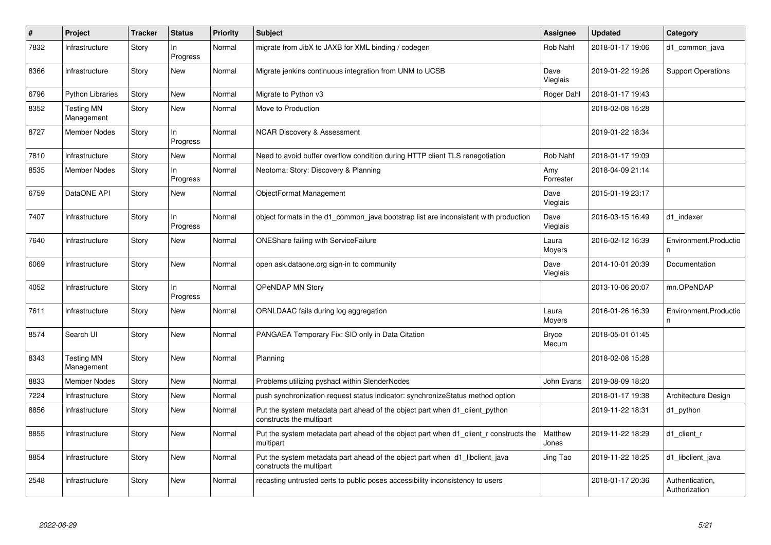| $\#$ | Project                         | <b>Tracker</b> | <b>Status</b>  | <b>Priority</b> | <b>Subject</b>                                                                                           | <b>Assignee</b>       | <b>Updated</b>   | Category                         |
|------|---------------------------------|----------------|----------------|-----------------|----------------------------------------------------------------------------------------------------------|-----------------------|------------------|----------------------------------|
| 7832 | Infrastructure                  | Story          | In<br>Progress | Normal          | migrate from JibX to JAXB for XML binding / codegen                                                      | <b>Rob Nahf</b>       | 2018-01-17 19:06 | d1_common_java                   |
| 8366 | Infrastructure                  | Story          | <b>New</b>     | Normal          | Migrate jenkins continuous integration from UNM to UCSB                                                  | Dave<br>Vieglais      | 2019-01-22 19:26 | <b>Support Operations</b>        |
| 6796 | <b>Python Libraries</b>         | Story          | <b>New</b>     | Normal          | Migrate to Python v3                                                                                     | Roger Dahl            | 2018-01-17 19:43 |                                  |
| 8352 | <b>Testing MN</b><br>Management | Story          | New            | Normal          | Move to Production                                                                                       |                       | 2018-02-08 15:28 |                                  |
| 8727 | Member Nodes                    | Story          | In<br>Progress | Normal          | <b>NCAR Discovery &amp; Assessment</b>                                                                   |                       | 2019-01-22 18:34 |                                  |
| 7810 | Infrastructure                  | Story          | New            | Normal          | Need to avoid buffer overflow condition during HTTP client TLS renegotiation                             | Rob Nahf              | 2018-01-17 19:09 |                                  |
| 8535 | Member Nodes                    | Story          | ln<br>Progress | Normal          | Neotoma: Story: Discovery & Planning                                                                     | Amy<br>Forrester      | 2018-04-09 21:14 |                                  |
| 6759 | DataONE API                     | Story          | <b>New</b>     | Normal          | ObjectFormat Management                                                                                  | Dave<br>Vieglais      | 2015-01-19 23:17 |                                  |
| 7407 | Infrastructure                  | Story          | In<br>Progress | Normal          | object formats in the d1 common java bootstrap list are inconsistent with production                     | Dave<br>Vieglais      | 2016-03-15 16:49 | d1_indexer                       |
| 7640 | Infrastructure                  | Story          | <b>New</b>     | Normal          | <b>ONEShare failing with ServiceFailure</b>                                                              | Laura<br>Moyers       | 2016-02-12 16:39 | Environment.Productio<br>n       |
| 6069 | Infrastructure                  | Story          | New            | Normal          | open ask dataone org sign-in to community                                                                | Dave<br>Vieglais      | 2014-10-01 20:39 | Documentation                    |
| 4052 | Infrastructure                  | Story          | In<br>Progress | Normal          | OPeNDAP MN Story                                                                                         |                       | 2013-10-06 20:07 | mn.OPeNDAP                       |
| 7611 | Infrastructure                  | Story          | New            | Normal          | ORNLDAAC fails during log aggregation                                                                    | Laura<br>Moyers       | 2016-01-26 16:39 | Environment.Productio            |
| 8574 | Search UI                       | Story          | <b>New</b>     | Normal          | PANGAEA Temporary Fix: SID only in Data Citation                                                         | <b>Bryce</b><br>Mecum | 2018-05-01 01:45 |                                  |
| 8343 | <b>Testing MN</b><br>Management | Story          | <b>New</b>     | Normal          | Planning                                                                                                 |                       | 2018-02-08 15:28 |                                  |
| 8833 | <b>Member Nodes</b>             | Story          | <b>New</b>     | Normal          | Problems utilizing pyshacl within SlenderNodes                                                           | John Evans            | 2019-08-09 18:20 |                                  |
| 7224 | Infrastructure                  | Story          | New            | Normal          | push synchronization request status indicator: synchronizeStatus method option                           |                       | 2018-01-17 19:38 | Architecture Design              |
| 8856 | Infrastructure                  | Story          | <b>New</b>     | Normal          | Put the system metadata part ahead of the object part when d1 client python<br>constructs the multipart  |                       | 2019-11-22 18:31 | d1 python                        |
| 8855 | Infrastructure                  | Story          | <b>New</b>     | Normal          | Put the system metadata part ahead of the object part when d1 client r constructs the<br>multipart       | Matthew<br>Jones      | 2019-11-22 18:29 | d1_client_r                      |
| 8854 | Infrastructure                  | Story          | <b>New</b>     | Normal          | Put the system metadata part ahead of the object part when d1 libclient java<br>constructs the multipart | Jing Tao              | 2019-11-22 18:25 | d1 libclient java                |
| 2548 | Infrastructure                  | Story          | New            | Normal          | recasting untrusted certs to public poses accessibility inconsistency to users                           |                       | 2018-01-17 20:36 | Authentication,<br>Authorization |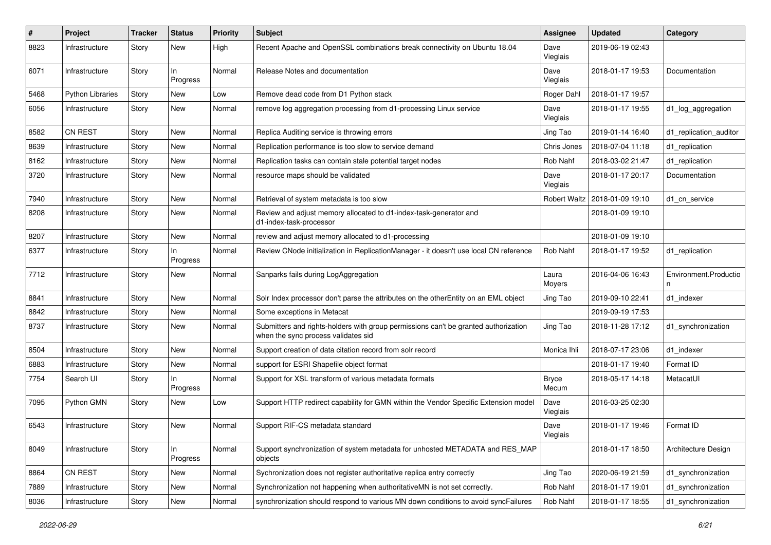| #    | Project                 | Tracker | <b>Status</b>  | <b>Priority</b> | Subject                                                                                                                    | <b>Assignee</b>       | <b>Updated</b>   | Category               |
|------|-------------------------|---------|----------------|-----------------|----------------------------------------------------------------------------------------------------------------------------|-----------------------|------------------|------------------------|
| 8823 | Infrastructure          | Story   | <b>New</b>     | High            | Recent Apache and OpenSSL combinations break connectivity on Ubuntu 18.04                                                  | Dave<br>Vieglais      | 2019-06-19 02:43 |                        |
| 6071 | Infrastructure          | Story   | ln<br>Progress | Normal          | Release Notes and documentation                                                                                            | Dave<br>Vieglais      | 2018-01-17 19:53 | Documentation          |
| 5468 | <b>Python Libraries</b> | Story   | <b>New</b>     | Low             | Remove dead code from D1 Python stack                                                                                      | Roger Dahl            | 2018-01-17 19:57 |                        |
| 6056 | Infrastructure          | Story   | <b>New</b>     | Normal          | remove log aggregation processing from d1-processing Linux service                                                         | Dave<br>Vieglais      | 2018-01-17 19:55 | d1_log_aggregation     |
| 8582 | CN REST                 | Story   | New            | Normal          | Replica Auditing service is throwing errors                                                                                | Jing Tao              | 2019-01-14 16:40 | d1_replication_auditor |
| 8639 | Infrastructure          | Story   | <b>New</b>     | Normal          | Replication performance is too slow to service demand                                                                      | Chris Jones           | 2018-07-04 11:18 | d1_replication         |
| 8162 | Infrastructure          | Story   | <b>New</b>     | Normal          | Replication tasks can contain stale potential target nodes                                                                 | Rob Nahf              | 2018-03-02 21:47 | d1 replication         |
| 3720 | Infrastructure          | Story   | <b>New</b>     | Normal          | resource maps should be validated                                                                                          | Dave<br>Vieglais      | 2018-01-17 20:17 | Documentation          |
| 7940 | Infrastructure          | Story   | New            | Normal          | Retrieval of system metadata is too slow                                                                                   | <b>Robert Waltz</b>   | 2018-01-09 19:10 | d1 cn service          |
| 8208 | Infrastructure          | Story   | New            | Normal          | Review and adjust memory allocated to d1-index-task-generator and<br>d1-index-task-processor                               |                       | 2018-01-09 19:10 |                        |
| 8207 | Infrastructure          | Story   | New            | Normal          | review and adjust memory allocated to d1-processing                                                                        |                       | 2018-01-09 19:10 |                        |
| 6377 | Infrastructure          | Story   | ln<br>Progress | Normal          | Review CNode initialization in ReplicationManager - it doesn't use local CN reference                                      | <b>Rob Nahf</b>       | 2018-01-17 19:52 | d1_replication         |
| 7712 | Infrastructure          | Story   | New            | Normal          | Sanparks fails during LogAggregation                                                                                       | Laura<br>Moyers       | 2016-04-06 16:43 | Environment.Productio  |
| 8841 | Infrastructure          | Story   | New            | Normal          | Solr Index processor don't parse the attributes on the otherEntity on an EML object                                        | Jing Tao              | 2019-09-10 22:41 | d1_indexer             |
| 8842 | Infrastructure          | Story   | New            | Normal          | Some exceptions in Metacat                                                                                                 |                       | 2019-09-19 17:53 |                        |
| 8737 | Infrastructure          | Story   | New            | Normal          | Submitters and rights-holders with group permissions can't be granted authorization<br>when the sync process validates sid | Jing Tao              | 2018-11-28 17:12 | d1_synchronization     |
| 8504 | Infrastructure          | Story   | New            | Normal          | Support creation of data citation record from solr record                                                                  | Monica Ihli           | 2018-07-17 23:06 | d1_indexer             |
| 6883 | Infrastructure          | Story   | <b>New</b>     | Normal          | support for ESRI Shapefile object format                                                                                   |                       | 2018-01-17 19:40 | Format ID              |
| 7754 | Search UI               | Story   | In<br>Progress | Normal          | Support for XSL transform of various metadata formats                                                                      | <b>Bryce</b><br>Mecum | 2018-05-17 14:18 | MetacatUI              |
| 7095 | Python GMN              | Story   | New            | Low             | Support HTTP redirect capability for GMN within the Vendor Specific Extension model                                        | Dave<br>Vieglais      | 2016-03-25 02:30 |                        |
| 6543 | Infrastructure          | Story   | New            | Normal          | Support RIF-CS metadata standard                                                                                           | Dave<br>Vieglais      | 2018-01-17 19:46 | Format ID              |
| 8049 | Infrastructure          | Story   | In<br>Progress | Normal          | Support synchronization of system metadata for unhosted METADATA and RES_MAP<br>objects                                    |                       | 2018-01-17 18:50 | Architecture Design    |
| 8864 | <b>CN REST</b>          | Story   | New            | Normal          | Sychronization does not register authoritative replica entry correctly                                                     | Jing Tao              | 2020-06-19 21:59 | d1_synchronization     |
| 7889 | Infrastructure          | Story   | New            | Normal          | Synchronization not happening when authoritativeMN is not set correctly.                                                   | Rob Nahf              | 2018-01-17 19:01 | d1_synchronization     |
| 8036 | Infrastructure          | Story   | New            | Normal          | synchronization should respond to various MN down conditions to avoid syncFailures                                         | Rob Nahf              | 2018-01-17 18:55 | d1_synchronization     |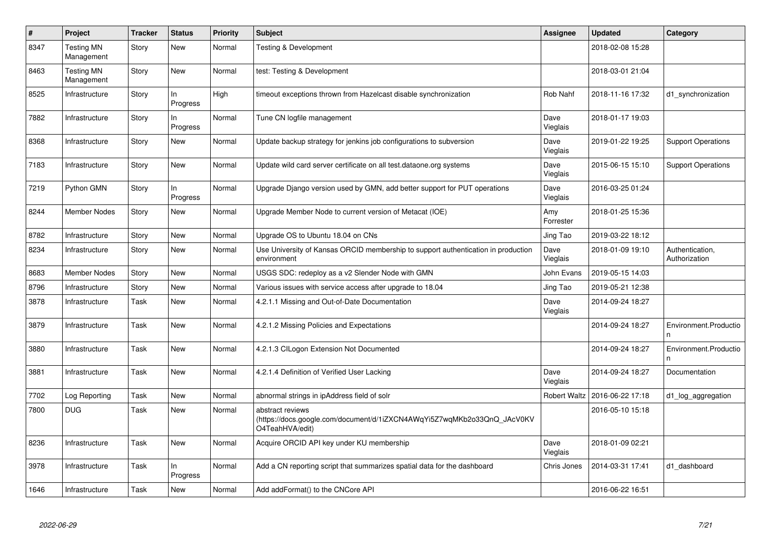| $\vert$ # | Project                         | <b>Tracker</b> | <b>Status</b>   | <b>Priority</b> | <b>Subject</b>                                                                                                 | Assignee            | <b>Updated</b>   | Category                         |
|-----------|---------------------------------|----------------|-----------------|-----------------|----------------------------------------------------------------------------------------------------------------|---------------------|------------------|----------------------------------|
| 8347      | <b>Testing MN</b><br>Management | Story          | <b>New</b>      | Normal          | <b>Testing &amp; Development</b>                                                                               |                     | 2018-02-08 15:28 |                                  |
| 8463      | <b>Testing MN</b><br>Management | Story          | <b>New</b>      | Normal          | test: Testing & Development                                                                                    |                     | 2018-03-01 21:04 |                                  |
| 8525      | Infrastructure                  | Story          | ln<br>Progress  | High            | timeout exceptions thrown from Hazelcast disable synchronization                                               | <b>Rob Nahf</b>     | 2018-11-16 17:32 | d1 synchronization               |
| 7882      | Infrastructure                  | Story          | In.<br>Progress | Normal          | Tune CN logfile management                                                                                     | Dave<br>Vieglais    | 2018-01-17 19:03 |                                  |
| 8368      | Infrastructure                  | Story          | <b>New</b>      | Normal          | Update backup strategy for jenkins job configurations to subversion                                            | Dave<br>Vieglais    | 2019-01-22 19:25 | <b>Support Operations</b>        |
| 7183      | Infrastructure                  | Story          | <b>New</b>      | Normal          | Update wild card server certificate on all test.dataone.org systems                                            | Dave<br>Vieglais    | 2015-06-15 15:10 | <b>Support Operations</b>        |
| 7219      | Python GMN                      | Story          | In.<br>Progress | Normal          | Upgrade Django version used by GMN, add better support for PUT operations                                      | Dave<br>Vieglais    | 2016-03-25 01:24 |                                  |
| 8244      | <b>Member Nodes</b>             | Story          | <b>New</b>      | Normal          | Upgrade Member Node to current version of Metacat (IOE)                                                        | Amy<br>Forrester    | 2018-01-25 15:36 |                                  |
| 8782      | Infrastructure                  | Story          | <b>New</b>      | Normal          | Upgrade OS to Ubuntu 18.04 on CNs                                                                              | Jing Tao            | 2019-03-22 18:12 |                                  |
| 8234      | Infrastructure                  | Story          | <b>New</b>      | Normal          | Use University of Kansas ORCID membership to support authentication in production<br>environment               | Dave<br>Vieglais    | 2018-01-09 19:10 | Authentication,<br>Authorization |
| 8683      | <b>Member Nodes</b>             | Story          | <b>New</b>      | Normal          | USGS SDC: redeploy as a v2 Slender Node with GMN                                                               | John Evans          | 2019-05-15 14:03 |                                  |
| 8796      | Infrastructure                  | Story          | <b>New</b>      | Normal          | Various issues with service access after upgrade to 18.04                                                      | Jing Tao            | 2019-05-21 12:38 |                                  |
| 3878      | Infrastructure                  | Task           | <b>New</b>      | Normal          | 4.2.1.1 Missing and Out-of-Date Documentation                                                                  | Dave<br>Vieglais    | 2014-09-24 18:27 |                                  |
| 3879      | Infrastructure                  | Task           | <b>New</b>      | Normal          | 4.2.1.2 Missing Policies and Expectations                                                                      |                     | 2014-09-24 18:27 | Environment.Productio            |
| 3880      | Infrastructure                  | Task           | <b>New</b>      | Normal          | 4.2.1.3 CILogon Extension Not Documented                                                                       |                     | 2014-09-24 18:27 | Environment.Productio            |
| 3881      | Infrastructure                  | Task           | <b>New</b>      | Normal          | 4.2.1.4 Definition of Verified User Lacking                                                                    | Dave<br>Vieglais    | 2014-09-24 18:27 | Documentation                    |
| 7702      | Log Reporting                   | Task           | <b>New</b>      | Normal          | abnormal strings in ipAddress field of solr                                                                    | <b>Robert Waltz</b> | 2016-06-22 17:18 | d1_log_aggregation               |
| 7800      | <b>DUG</b>                      | Task           | <b>New</b>      | Normal          | abstract reviews<br>(https://docs.google.com/document/d/1iZXCN4AWqYi5Z7wqMKb2o33QnQ_JAcV0KV<br>O4TeahHVA/edit) |                     | 2016-05-10 15:18 |                                  |
| 8236      | Infrastructure                  | Task           | <b>New</b>      | Normal          | Acquire ORCID API key under KU membership                                                                      | Dave<br>Vieglais    | 2018-01-09 02:21 |                                  |
| 3978      | Infrastructure                  | Task           | In<br>Progress  | Normal          | Add a CN reporting script that summarizes spatial data for the dashboard                                       | Chris Jones         | 2014-03-31 17:41 | d1 dashboard                     |
| 1646      | Infrastructure                  | Task           | <b>New</b>      | Normal          | Add addFormat() to the CNCore API                                                                              |                     | 2016-06-22 16:51 |                                  |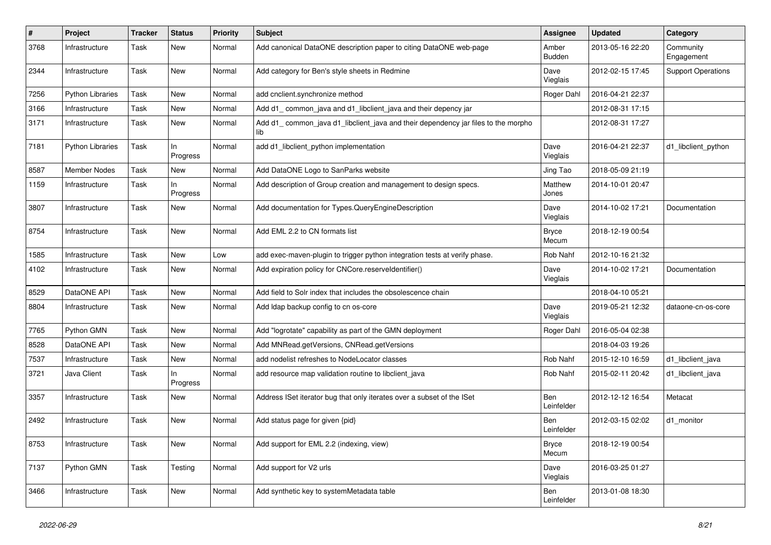| $\#$ | Project                 | <b>Tracker</b> | <b>Status</b>  | <b>Priority</b> | <b>Subject</b>                                                                           | Assignee                 | <b>Updated</b>   | Category                  |
|------|-------------------------|----------------|----------------|-----------------|------------------------------------------------------------------------------------------|--------------------------|------------------|---------------------------|
| 3768 | Infrastructure          | Task           | New            | Normal          | Add canonical DataONE description paper to citing DataONE web-page                       | Amber<br><b>Budden</b>   | 2013-05-16 22:20 | Community<br>Engagement   |
| 2344 | Infrastructure          | Task           | New            | Normal          | Add category for Ben's style sheets in Redmine                                           | Dave<br>Vieglais         | 2012-02-15 17:45 | <b>Support Operations</b> |
| 7256 | <b>Python Libraries</b> | Task           | <b>New</b>     | Normal          | add cnclient.synchronize method                                                          | Roger Dahl               | 2016-04-21 22:37 |                           |
| 3166 | Infrastructure          | Task           | <b>New</b>     | Normal          | Add d1_common_java and d1_libclient_java and their depency jar                           |                          | 2012-08-31 17:15 |                           |
| 3171 | Infrastructure          | Task           | New            | Normal          | Add d1_common_java d1_libclient_java and their dependency jar files to the morpho<br>lib |                          | 2012-08-31 17:27 |                           |
| 7181 | <b>Python Libraries</b> | Task           | In<br>Progress | Normal          | add d1_libclient_python implementation                                                   | Dave<br>Vieglais         | 2016-04-21 22:37 | d1_libclient_python       |
| 8587 | <b>Member Nodes</b>     | Task           | <b>New</b>     | Normal          | Add DataONE Logo to SanParks website                                                     | Jing Tao                 | 2018-05-09 21:19 |                           |
| 1159 | Infrastructure          | Task           | In<br>Progress | Normal          | Add description of Group creation and management to design specs.                        | Matthew<br>Jones         | 2014-10-01 20:47 |                           |
| 3807 | Infrastructure          | Task           | New            | Normal          | Add documentation for Types.QueryEngineDescription                                       | Dave<br>Vieglais         | 2014-10-02 17:21 | Documentation             |
| 8754 | Infrastructure          | Task           | New            | Normal          | Add EML 2.2 to CN formats list                                                           | <b>Bryce</b><br>Mecum    | 2018-12-19 00:54 |                           |
| 1585 | Infrastructure          | Task           | <b>New</b>     | Low             | add exec-maven-plugin to trigger python integration tests at verify phase.               | <b>Rob Nahf</b>          | 2012-10-16 21:32 |                           |
| 4102 | Infrastructure          | Task           | New            | Normal          | Add expiration policy for CNCore.reserveldentifier()                                     | Dave<br>Vieglais         | 2014-10-02 17:21 | Documentation             |
| 8529 | DataONE API             | Task           | <b>New</b>     | Normal          | Add field to Solr index that includes the obsolescence chain                             |                          | 2018-04-10 05:21 |                           |
| 8804 | Infrastructure          | Task           | New            | Normal          | Add Idap backup config to cn os-core                                                     | Dave<br>Vieglais         | 2019-05-21 12:32 | dataone-cn-os-core        |
| 7765 | Python GMN              | Task           | New            | Normal          | Add "logrotate" capability as part of the GMN deployment                                 | Roger Dahl               | 2016-05-04 02:38 |                           |
| 8528 | DataONE API             | Task           | <b>New</b>     | Normal          | Add MNRead.getVersions, CNRead.getVersions                                               |                          | 2018-04-03 19:26 |                           |
| 7537 | Infrastructure          | Task           | <b>New</b>     | Normal          | add nodelist refreshes to NodeLocator classes                                            | Rob Nahf                 | 2015-12-10 16:59 | d1_libclient_java         |
| 3721 | Java Client             | Task           | In<br>Progress | Normal          | add resource map validation routine to libclient_java                                    | Rob Nahf                 | 2015-02-11 20:42 | d1 libclient java         |
| 3357 | Infrastructure          | Task           | <b>New</b>     | Normal          | Address ISet iterator bug that only iterates over a subset of the ISet                   | <b>Ben</b><br>Leinfelder | 2012-12-12 16:54 | Metacat                   |
| 2492 | Infrastructure          | Task           | New            | Normal          | Add status page for given {pid}                                                          | Ben<br>Leinfelder        | 2012-03-15 02:02 | d1 monitor                |
| 8753 | Infrastructure          | Task           | New            | Normal          | Add support for EML 2.2 (indexing, view)                                                 | <b>Bryce</b><br>Mecum    | 2018-12-19 00:54 |                           |
| 7137 | Python GMN              | Task           | Testing        | Normal          | Add support for V2 urls                                                                  | Dave<br>Vieglais         | 2016-03-25 01:27 |                           |
| 3466 | Infrastructure          | Task           | New            | Normal          | Add synthetic key to systemMetadata table                                                | Ben<br>Leinfelder        | 2013-01-08 18:30 |                           |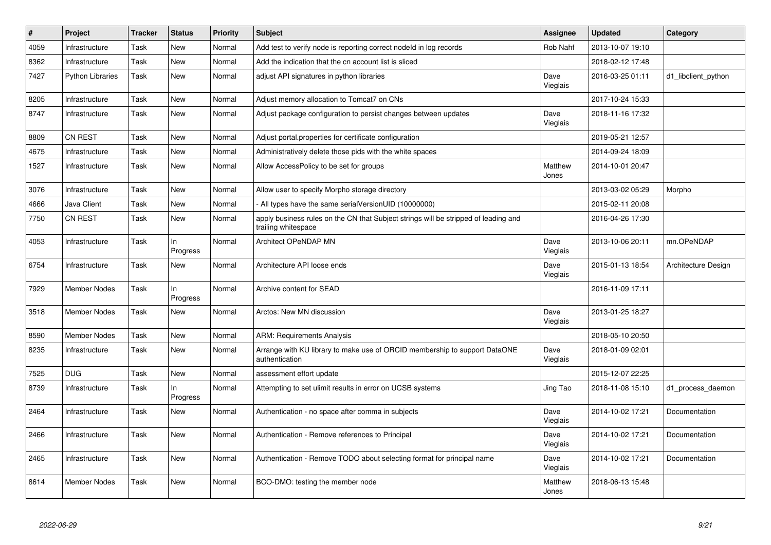| $\sharp$ | Project                 | <b>Tracker</b> | <b>Status</b>  | <b>Priority</b> | <b>Subject</b>                                                                                             | <b>Assignee</b>  | <b>Updated</b>   | Category            |
|----------|-------------------------|----------------|----------------|-----------------|------------------------------------------------------------------------------------------------------------|------------------|------------------|---------------------|
| 4059     | Infrastructure          | Task           | <b>New</b>     | Normal          | Add test to verify node is reporting correct nodeld in log records                                         | <b>Rob Nahf</b>  | 2013-10-07 19:10 |                     |
| 8362     | Infrastructure          | Task           | <b>New</b>     | Normal          | Add the indication that the cn account list is sliced                                                      |                  | 2018-02-12 17:48 |                     |
| 7427     | <b>Python Libraries</b> | Task           | <b>New</b>     | Normal          | adjust API signatures in python libraries                                                                  | Dave<br>Vieglais | 2016-03-25 01:11 | d1 libclient python |
| 8205     | Infrastructure          | Task           | <b>New</b>     | Normal          | Adjust memory allocation to Tomcat7 on CNs                                                                 |                  | 2017-10-24 15:33 |                     |
| 8747     | Infrastructure          | Task           | <b>New</b>     | Normal          | Adjust package configuration to persist changes between updates                                            | Dave<br>Vieglais | 2018-11-16 17:32 |                     |
| 8809     | <b>CN REST</b>          | Task           | <b>New</b>     | Normal          | Adjust portal properties for certificate configuration                                                     |                  | 2019-05-21 12:57 |                     |
| 4675     | Infrastructure          | Task           | <b>New</b>     | Normal          | Administratively delete those pids with the white spaces                                                   |                  | 2014-09-24 18:09 |                     |
| 1527     | Infrastructure          | Task           | <b>New</b>     | Normal          | Allow AccessPolicy to be set for groups                                                                    | Matthew<br>Jones | 2014-10-01 20:47 |                     |
| 3076     | Infrastructure          | Task           | <b>New</b>     | Normal          | Allow user to specify Morpho storage directory                                                             |                  | 2013-03-02 05:29 | Morpho              |
| 4666     | Java Client             | Task           | <b>New</b>     | Normal          | All types have the same serialVersionUID (10000000)                                                        |                  | 2015-02-11 20:08 |                     |
| 7750     | CN REST                 | Task           | <b>New</b>     | Normal          | apply business rules on the CN that Subject strings will be stripped of leading and<br>trailing whitespace |                  | 2016-04-26 17:30 |                     |
| 4053     | Infrastructure          | Task           | In<br>Progress | Normal          | Architect OPeNDAP MN                                                                                       | Dave<br>Vieglais | 2013-10-06 20:11 | mn.OPeNDAP          |
| 6754     | Infrastructure          | Task           | New            | Normal          | Architecture API loose ends                                                                                | Dave<br>Vieglais | 2015-01-13 18:54 | Architecture Design |
| 7929     | Member Nodes            | Task           | In<br>Progress | Normal          | Archive content for SEAD                                                                                   |                  | 2016-11-09 17:11 |                     |
| 3518     | Member Nodes            | Task           | <b>New</b>     | Normal          | Arctos: New MN discussion                                                                                  | Dave<br>Vieglais | 2013-01-25 18:27 |                     |
| 8590     | <b>Member Nodes</b>     | Task           | <b>New</b>     | Normal          | <b>ARM: Requirements Analysis</b>                                                                          |                  | 2018-05-10 20:50 |                     |
| 8235     | Infrastructure          | Task           | <b>New</b>     | Normal          | Arrange with KU library to make use of ORCID membership to support DataONE<br>authentication               | Dave<br>Vieglais | 2018-01-09 02:01 |                     |
| 7525     | <b>DUG</b>              | Task           | <b>New</b>     | Normal          | assessment effort update                                                                                   |                  | 2015-12-07 22:25 |                     |
| 8739     | Infrastructure          | Task           | In<br>Progress | Normal          | Attempting to set ulimit results in error on UCSB systems                                                  | Jing Tao         | 2018-11-08 15:10 | d1 process daemon   |
| 2464     | Infrastructure          | Task           | <b>New</b>     | Normal          | Authentication - no space after comma in subjects                                                          | Dave<br>Vieglais | 2014-10-02 17:21 | Documentation       |
| 2466     | Infrastructure          | Task           | <b>New</b>     | Normal          | Authentication - Remove references to Principal                                                            | Dave<br>Vieglais | 2014-10-02 17:21 | Documentation       |
| 2465     | Infrastructure          | Task           | <b>New</b>     | Normal          | Authentication - Remove TODO about selecting format for principal name                                     | Dave<br>Vieglais | 2014-10-02 17:21 | Documentation       |
| 8614     | Member Nodes            | Task           | <b>New</b>     | Normal          | BCO-DMO: testing the member node                                                                           | Matthew<br>Jones | 2018-06-13 15:48 |                     |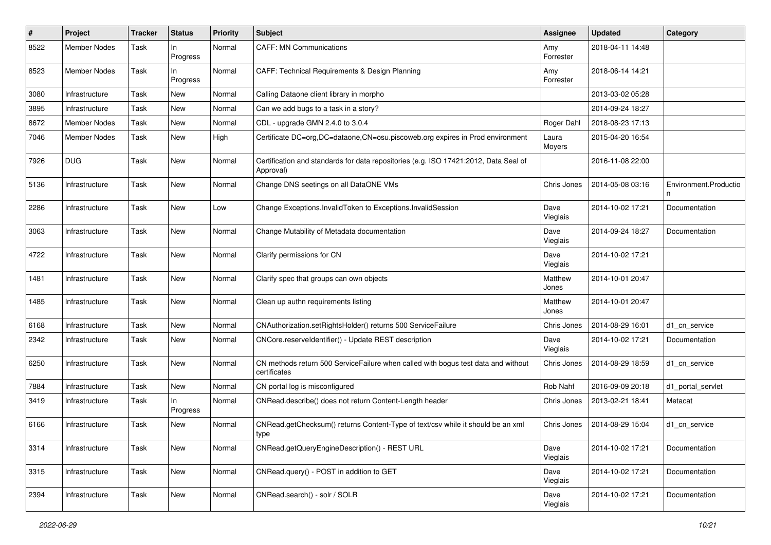| #    | Project             | Tracker | <b>Status</b>  | <b>Priority</b> | Subject                                                                                           | <b>Assignee</b>  | <b>Updated</b>   | Category              |
|------|---------------------|---------|----------------|-----------------|---------------------------------------------------------------------------------------------------|------------------|------------------|-----------------------|
| 8522 | <b>Member Nodes</b> | Task    | In<br>Progress | Normal          | <b>CAFF: MN Communications</b>                                                                    | Amy<br>Forrester | 2018-04-11 14:48 |                       |
| 8523 | Member Nodes        | Task    | In<br>Progress | Normal          | CAFF: Technical Requirements & Design Planning                                                    | Amy<br>Forrester | 2018-06-14 14:21 |                       |
| 3080 | Infrastructure      | Task    | <b>New</b>     | Normal          | Calling Dataone client library in morpho                                                          |                  | 2013-03-02 05:28 |                       |
| 3895 | Infrastructure      | Task    | New            | Normal          | Can we add bugs to a task in a story?                                                             |                  | 2014-09-24 18:27 |                       |
| 8672 | <b>Member Nodes</b> | Task    | New            | Normal          | CDL - upgrade GMN 2.4.0 to 3.0.4                                                                  | Roger Dahl       | 2018-08-23 17:13 |                       |
| 7046 | Member Nodes        | Task    | New            | High            | Certificate DC=org,DC=dataone,CN=osu.piscoweb.org expires in Prod environment                     | Laura<br>Moyers  | 2015-04-20 16:54 |                       |
| 7926 | <b>DUG</b>          | Task    | <b>New</b>     | Normal          | Certification and standards for data repositories (e.g. ISO 17421:2012, Data Seal of<br>Approval) |                  | 2016-11-08 22:00 |                       |
| 5136 | Infrastructure      | Task    | New            | Normal          | Change DNS seetings on all DataONE VMs                                                            | Chris Jones      | 2014-05-08 03:16 | Environment.Productio |
| 2286 | Infrastructure      | Task    | <b>New</b>     | Low             | Change Exceptions.InvalidToken to Exceptions.InvalidSession                                       | Dave<br>Vieglais | 2014-10-02 17:21 | Documentation         |
| 3063 | Infrastructure      | Task    | <b>New</b>     | Normal          | Change Mutability of Metadata documentation                                                       | Dave<br>Vieglais | 2014-09-24 18:27 | Documentation         |
| 4722 | Infrastructure      | Task    | New            | Normal          | Clarify permissions for CN                                                                        | Dave<br>Vieglais | 2014-10-02 17:21 |                       |
| 1481 | Infrastructure      | Task    | New            | Normal          | Clarify spec that groups can own objects                                                          | Matthew<br>Jones | 2014-10-01 20:47 |                       |
| 1485 | Infrastructure      | Task    | New            | Normal          | Clean up authn requirements listing                                                               | Matthew<br>Jones | 2014-10-01 20:47 |                       |
| 6168 | Infrastructure      | Task    | <b>New</b>     | Normal          | CNAuthorization.setRightsHolder() returns 500 ServiceFailure                                      | Chris Jones      | 2014-08-29 16:01 | d1 cn service         |
| 2342 | Infrastructure      | Task    | New            | Normal          | CNCore.reserveldentifier() - Update REST description                                              | Dave<br>Vieglais | 2014-10-02 17:21 | Documentation         |
| 6250 | Infrastructure      | Task    | New            | Normal          | CN methods return 500 ServiceFailure when called with bogus test data and without<br>certificates | Chris Jones      | 2014-08-29 18:59 | d1 cn service         |
| 7884 | Infrastructure      | Task    | New            | Normal          | CN portal log is misconfigured                                                                    | Rob Nahf         | 2016-09-09 20:18 | d1_portal_servlet     |
| 3419 | Infrastructure      | Task    | In<br>Progress | Normal          | CNRead.describe() does not return Content-Length header                                           | Chris Jones      | 2013-02-21 18:41 | Metacat               |
| 6166 | Infrastructure      | Task    | <b>New</b>     | Normal          | CNRead.getChecksum() returns Content-Type of text/csv while it should be an xml<br>type           | Chris Jones      | 2014-08-29 15:04 | d1_cn_service         |
| 3314 | Infrastructure      | Task    | New            | Normal          | CNRead.getQueryEngineDescription() - REST URL                                                     | Dave<br>Vieglais | 2014-10-02 17:21 | Documentation         |
| 3315 | Infrastructure      | Task    | New            | Normal          | CNRead.query() - POST in addition to GET                                                          | Dave<br>Vieglais | 2014-10-02 17:21 | Documentation         |
| 2394 | Infrastructure      | Task    | New            | Normal          | CNRead.search() - solr / SOLR                                                                     | Dave<br>Vieglais | 2014-10-02 17:21 | Documentation         |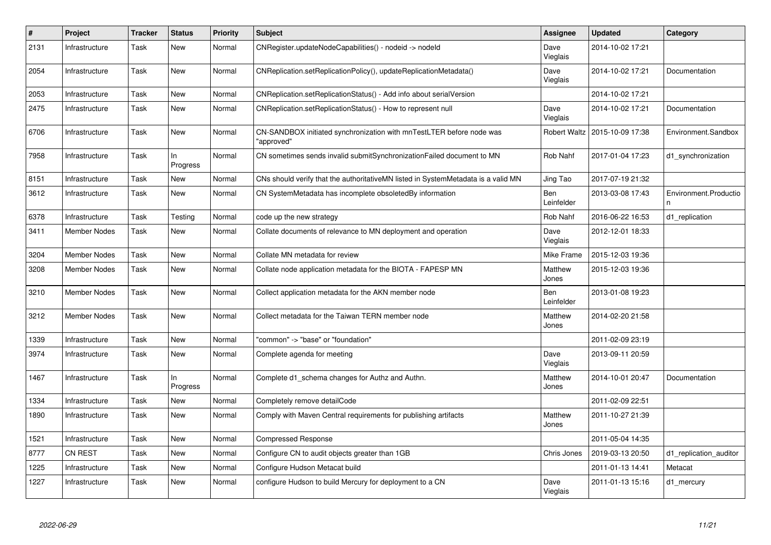| $\#$ | Project             | <b>Tracker</b> | <b>Status</b>  | Priority | <b>Subject</b>                                                                     | <b>Assignee</b>          | <b>Updated</b>   | Category                   |
|------|---------------------|----------------|----------------|----------|------------------------------------------------------------------------------------|--------------------------|------------------|----------------------------|
| 2131 | Infrastructure      | Task           | <b>New</b>     | Normal   | CNRegister.updateNodeCapabilities() - nodeid -> nodeld                             | Dave<br>Vieglais         | 2014-10-02 17:21 |                            |
| 2054 | Infrastructure      | Task           | New            | Normal   | CNReplication.setReplicationPolicy(), updateReplicationMetadata()                  | Dave<br>Vieglais         | 2014-10-02 17:21 | Documentation              |
| 2053 | Infrastructure      | Task           | <b>New</b>     | Normal   | CNReplication.setReplicationStatus() - Add info about serialVersion                |                          | 2014-10-02 17:21 |                            |
| 2475 | Infrastructure      | Task           | New            | Normal   | CNReplication.setReplicationStatus() - How to represent null                       | Dave<br>Vieglais         | 2014-10-02 17:21 | Documentation              |
| 6706 | Infrastructure      | Task           | <b>New</b>     | Normal   | CN-SANDBOX initiated synchronization with mnTestLTER before node was<br>"approved" | <b>Robert Waltz</b>      | 2015-10-09 17:38 | Environment.Sandbox        |
| 7958 | Infrastructure      | Task           | ln<br>Progress | Normal   | CN sometimes sends invalid submitSynchronizationFailed document to MN              | Rob Nahf                 | 2017-01-04 17:23 | d1_synchronization         |
| 8151 | Infrastructure      | Task           | <b>New</b>     | Normal   | CNs should verify that the authoritativeMN listed in SystemMetadata is a valid MN  | Jing Tao                 | 2017-07-19 21:32 |                            |
| 3612 | Infrastructure      | Task           | <b>New</b>     | Normal   | CN SystemMetadata has incomplete obsoletedBy information                           | <b>Ben</b><br>Leinfelder | 2013-03-08 17:43 | Environment.Productio<br>n |
| 6378 | Infrastructure      | Task           | Testing        | Normal   | code up the new strategy                                                           | <b>Rob Nahf</b>          | 2016-06-22 16:53 | d1 replication             |
| 3411 | <b>Member Nodes</b> | Task           | New            | Normal   | Collate documents of relevance to MN deployment and operation                      | Dave<br>Vieglais         | 2012-12-01 18:33 |                            |
| 3204 | <b>Member Nodes</b> | Task           | <b>New</b>     | Normal   | Collate MN metadata for review                                                     | Mike Frame               | 2015-12-03 19:36 |                            |
| 3208 | <b>Member Nodes</b> | Task           | <b>New</b>     | Normal   | Collate node application metadata for the BIOTA - FAPESP MN                        | Matthew<br>Jones         | 2015-12-03 19:36 |                            |
| 3210 | <b>Member Nodes</b> | Task           | <b>New</b>     | Normal   | Collect application metadata for the AKN member node                               | Ben<br>Leinfelder        | 2013-01-08 19:23 |                            |
| 3212 | <b>Member Nodes</b> | Task           | New            | Normal   | Collect metadata for the Taiwan TERN member node                                   | Matthew<br>Jones         | 2014-02-20 21:58 |                            |
| 1339 | Infrastructure      | Task           | <b>New</b>     | Normal   | 'common" -> "base" or "foundation"                                                 |                          | 2011-02-09 23:19 |                            |
| 3974 | Infrastructure      | Task           | New            | Normal   | Complete agenda for meeting                                                        | Dave<br>Vieglais         | 2013-09-11 20:59 |                            |
| 1467 | Infrastructure      | Task           | In<br>Progress | Normal   | Complete d1 schema changes for Authz and Authn.                                    | Matthew<br>Jones         | 2014-10-01 20:47 | Documentation              |
| 1334 | Infrastructure      | Task           | <b>New</b>     | Normal   | Completely remove detailCode                                                       |                          | 2011-02-09 22:51 |                            |
| 1890 | Infrastructure      | Task           | <b>New</b>     | Normal   | Comply with Maven Central requirements for publishing artifacts                    | Matthew<br>Jones         | 2011-10-27 21:39 |                            |
| 1521 | Infrastructure      | Task           | <b>New</b>     | Normal   | <b>Compressed Response</b>                                                         |                          | 2011-05-04 14:35 |                            |
| 8777 | <b>CN REST</b>      | Task           | <b>New</b>     | Normal   | Configure CN to audit objects greater than 1GB                                     | Chris Jones              | 2019-03-13 20:50 | d1 replication auditor     |
| 1225 | Infrastructure      | Task           | <b>New</b>     | Normal   | Configure Hudson Metacat build                                                     |                          | 2011-01-13 14:41 | Metacat                    |
| 1227 | Infrastructure      | Task           | <b>New</b>     | Normal   | configure Hudson to build Mercury for deployment to a CN                           | Dave<br>Vieglais         | 2011-01-13 15:16 | d1 mercury                 |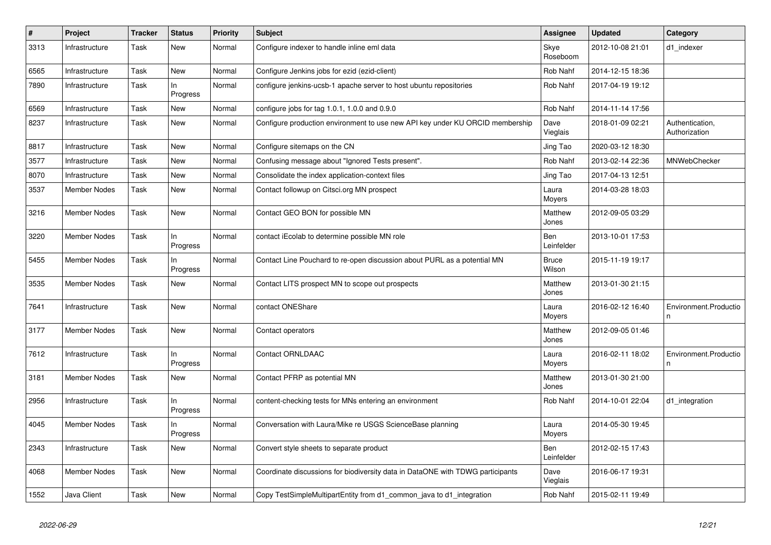| $\#$ | Project             | <b>Tracker</b> | <b>Status</b>     | <b>Priority</b> | <b>Subject</b>                                                                 | <b>Assignee</b>          | <b>Updated</b>   | Category                         |
|------|---------------------|----------------|-------------------|-----------------|--------------------------------------------------------------------------------|--------------------------|------------------|----------------------------------|
| 3313 | Infrastructure      | Task           | New               | Normal          | Configure indexer to handle inline eml data                                    | Skye<br>Roseboom         | 2012-10-08 21:01 | d1_indexer                       |
| 6565 | Infrastructure      | Task           | <b>New</b>        | Normal          | Configure Jenkins jobs for ezid (ezid-client)                                  | <b>Rob Nahf</b>          | 2014-12-15 18:36 |                                  |
| 7890 | Infrastructure      | Task           | In<br>Progress    | Normal          | configure jenkins-ucsb-1 apache server to host ubuntu repositories             | Rob Nahf                 | 2017-04-19 19:12 |                                  |
| 6569 | Infrastructure      | Task           | <b>New</b>        | Normal          | configure jobs for tag 1.0.1, 1.0.0 and 0.9.0                                  | <b>Rob Nahf</b>          | 2014-11-14 17:56 |                                  |
| 8237 | Infrastructure      | Task           | <b>New</b>        | Normal          | Configure production environment to use new API key under KU ORCID membership  | Dave<br>Vieglais         | 2018-01-09 02:21 | Authentication,<br>Authorization |
| 8817 | Infrastructure      | Task           | <b>New</b>        | Normal          | Configure sitemaps on the CN                                                   | Jing Tao                 | 2020-03-12 18:30 |                                  |
| 3577 | Infrastructure      | Task           | New               | Normal          | Confusing message about "Ignored Tests present".                               | Rob Nahf                 | 2013-02-14 22:36 | <b>MNWebChecker</b>              |
| 8070 | Infrastructure      | Task           | New               | Normal          | Consolidate the index application-context files                                | Jing Tao                 | 2017-04-13 12:51 |                                  |
| 3537 | <b>Member Nodes</b> | Task           | New               | Normal          | Contact followup on Citsci.org MN prospect                                     | Laura<br>Moyers          | 2014-03-28 18:03 |                                  |
| 3216 | <b>Member Nodes</b> | Task           | New               | Normal          | Contact GEO BON for possible MN                                                | Matthew<br>Jones         | 2012-09-05 03:29 |                                  |
| 3220 | <b>Member Nodes</b> | Task           | $\ln$<br>Progress | Normal          | contact iEcolab to determine possible MN role                                  | <b>Ben</b><br>Leinfelder | 2013-10-01 17:53 |                                  |
| 5455 | <b>Member Nodes</b> | Task           | ln<br>Progress    | Normal          | Contact Line Pouchard to re-open discussion about PURL as a potential MN       | <b>Bruce</b><br>Wilson   | 2015-11-19 19:17 |                                  |
| 3535 | <b>Member Nodes</b> | Task           | <b>New</b>        | Normal          | Contact LITS prospect MN to scope out prospects                                | Matthew<br>Jones         | 2013-01-30 21:15 |                                  |
| 7641 | Infrastructure      | Task           | New               | Normal          | contact ONEShare                                                               | Laura<br>Moyers          | 2016-02-12 16:40 | Environment.Productio<br>n       |
| 3177 | <b>Member Nodes</b> | Task           | <b>New</b>        | Normal          | Contact operators                                                              | Matthew<br>Jones         | 2012-09-05 01:46 |                                  |
| 7612 | Infrastructure      | Task           | $\ln$<br>Progress | Normal          | <b>Contact ORNLDAAC</b>                                                        | Laura<br>Moyers          | 2016-02-11 18:02 | Environment.Productio<br>n       |
| 3181 | <b>Member Nodes</b> | Task           | New               | Normal          | Contact PFRP as potential MN                                                   | Matthew<br>Jones         | 2013-01-30 21:00 |                                  |
| 2956 | Infrastructure      | Task           | In<br>Progress    | Normal          | content-checking tests for MNs entering an environment                         | Rob Nahf                 | 2014-10-01 22:04 | d1 integration                   |
| 4045 | <b>Member Nodes</b> | Task           | ln<br>Progress    | Normal          | Conversation with Laura/Mike re USGS ScienceBase planning                      | Laura<br>Moyers          | 2014-05-30 19:45 |                                  |
| 2343 | Infrastructure      | Task           | <b>New</b>        | Normal          | Convert style sheets to separate product                                       | Ben<br>Leinfelder        | 2012-02-15 17:43 |                                  |
| 4068 | <b>Member Nodes</b> | Task           | New               | Normal          | Coordinate discussions for biodiversity data in DataONE with TDWG participants | Dave<br>Vieglais         | 2016-06-17 19:31 |                                  |
| 1552 | Java Client         | Task           | <b>New</b>        | Normal          | Copy TestSimpleMultipartEntity from d1_common_java to d1_integration           | Rob Nahf                 | 2015-02-11 19:49 |                                  |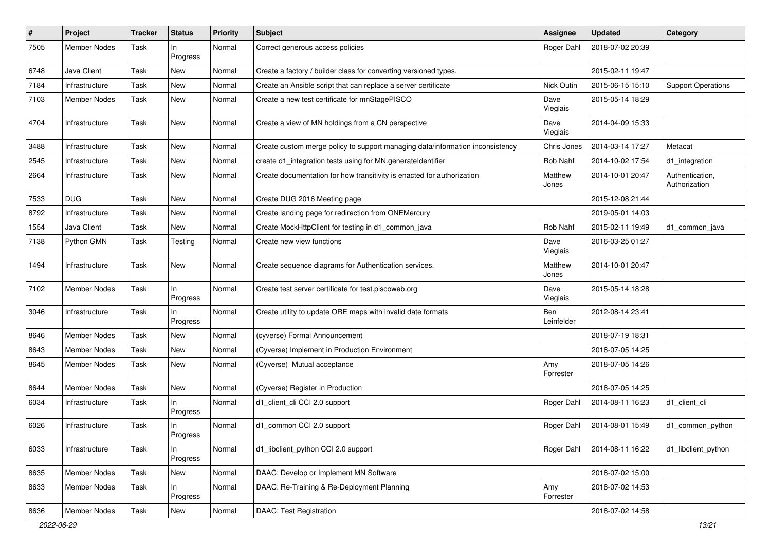| $\#$ | Project             | <b>Tracker</b> | <b>Status</b>     | <b>Priority</b> | Subject                                                                       | <b>Assignee</b>   | <b>Updated</b>   | Category                         |
|------|---------------------|----------------|-------------------|-----------------|-------------------------------------------------------------------------------|-------------------|------------------|----------------------------------|
| 7505 | <b>Member Nodes</b> | Task           | In<br>Progress    | Normal          | Correct generous access policies                                              | Roger Dahl        | 2018-07-02 20:39 |                                  |
| 6748 | Java Client         | Task           | New               | Normal          | Create a factory / builder class for converting versioned types.              |                   | 2015-02-11 19:47 |                                  |
| 7184 | Infrastructure      | Task           | New               | Normal          | Create an Ansible script that can replace a server certificate                | Nick Outin        | 2015-06-15 15:10 | <b>Support Operations</b>        |
| 7103 | <b>Member Nodes</b> | Task           | New               | Normal          | Create a new test certificate for mnStagePISCO                                | Dave<br>Vieglais  | 2015-05-14 18:29 |                                  |
| 4704 | Infrastructure      | Task           | New               | Normal          | Create a view of MN holdings from a CN perspective                            | Dave<br>Vieglais  | 2014-04-09 15:33 |                                  |
| 3488 | Infrastructure      | Task           | New               | Normal          | Create custom merge policy to support managing data/information inconsistency | Chris Jones       | 2014-03-14 17:27 | Metacat                          |
| 2545 | Infrastructure      | Task           | <b>New</b>        | Normal          | create d1_integration tests using for MN.generateIdentifier                   | Rob Nahf          | 2014-10-02 17:54 | d1_integration                   |
| 2664 | Infrastructure      | Task           | New               | Normal          | Create documentation for how transitivity is enacted for authorization        | Matthew<br>Jones  | 2014-10-01 20:47 | Authentication,<br>Authorization |
| 7533 | <b>DUG</b>          | Task           | <b>New</b>        | Normal          | Create DUG 2016 Meeting page                                                  |                   | 2015-12-08 21:44 |                                  |
| 8792 | Infrastructure      | Task           | <b>New</b>        | Normal          | Create landing page for redirection from ONEMercury                           |                   | 2019-05-01 14:03 |                                  |
| 1554 | Java Client         | Task           | New               | Normal          | Create MockHttpClient for testing in d1_common_java                           | Rob Nahf          | 2015-02-11 19:49 | d1_common_java                   |
| 7138 | Python GMN          | Task           | Testing           | Normal          | Create new view functions                                                     | Dave<br>Vieglais  | 2016-03-25 01:27 |                                  |
| 1494 | Infrastructure      | Task           | <b>New</b>        | Normal          | Create sequence diagrams for Authentication services.                         | Matthew<br>Jones  | 2014-10-01 20:47 |                                  |
| 7102 | <b>Member Nodes</b> | Task           | In<br>Progress    | Normal          | Create test server certificate for test.piscoweb.org                          | Dave<br>Vieglais  | 2015-05-14 18:28 |                                  |
| 3046 | Infrastructure      | Task           | In<br>Progress    | Normal          | Create utility to update ORE maps with invalid date formats                   | Ben<br>Leinfelder | 2012-08-14 23:41 |                                  |
| 8646 | Member Nodes        | Task           | New               | Normal          | (cyverse) Formal Announcement                                                 |                   | 2018-07-19 18:31 |                                  |
| 8643 | Member Nodes        | Task           | New               | Normal          | (Cyverse) Implement in Production Environment                                 |                   | 2018-07-05 14:25 |                                  |
| 8645 | Member Nodes        | Task           | New               | Normal          | (Cyverse) Mutual acceptance                                                   | Amy<br>Forrester  | 2018-07-05 14:26 |                                  |
| 8644 | <b>Member Nodes</b> | Task           | New               | Normal          | (Cyverse) Register in Production                                              |                   | 2018-07-05 14:25 |                                  |
| 6034 | Infrastructure      | Task           | $\ln$<br>Progress | Normal          | d1_client_cli CCl 2.0 support                                                 | Roger Dahl        | 2014-08-11 16:23 | d1 client cli                    |
| 6026 | Infrastructure      | Task           | In<br>Progress    | Normal          | d1_common CCI 2.0 support                                                     | Roger Dahl        | 2014-08-01 15:49 | d1_common_python                 |
| 6033 | Infrastructure      | Task           | In<br>Progress    | Normal          | d1 libclient python CCI 2.0 support                                           | Roger Dahl        | 2014-08-11 16:22 | d1_libclient_python              |
| 8635 | Member Nodes        | Task           | New               | Normal          | DAAC: Develop or Implement MN Software                                        |                   | 2018-07-02 15:00 |                                  |
| 8633 | Member Nodes        | Task           | In<br>Progress    | Normal          | DAAC: Re-Training & Re-Deployment Planning                                    | Amy<br>Forrester  | 2018-07-02 14:53 |                                  |
| 8636 | Member Nodes        | Task           | New               | Normal          | DAAC: Test Registration                                                       |                   | 2018-07-02 14:58 |                                  |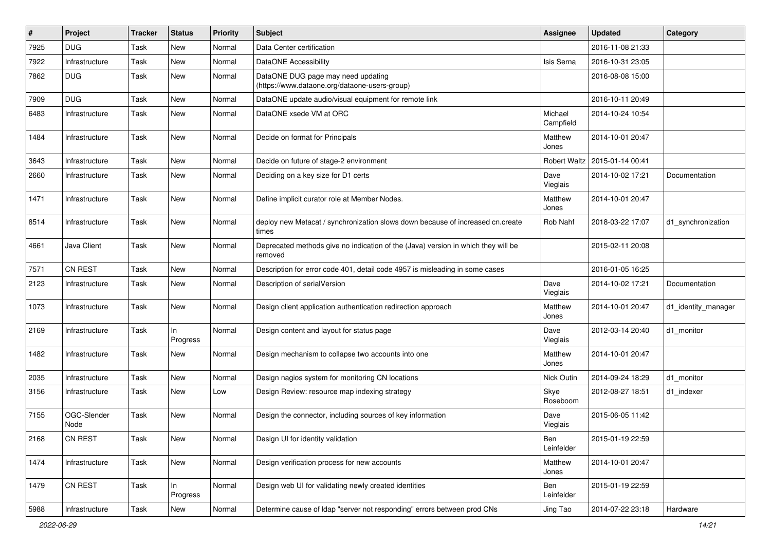| #    | Project             | Tracker | <b>Status</b>  | <b>Priority</b> | Subject                                                                                      | <b>Assignee</b>      | <b>Updated</b>   | Category            |
|------|---------------------|---------|----------------|-----------------|----------------------------------------------------------------------------------------------|----------------------|------------------|---------------------|
| 7925 | <b>DUG</b>          | Task    | <b>New</b>     | Normal          | Data Center certification                                                                    |                      | 2016-11-08 21:33 |                     |
| 7922 | Infrastructure      | Task    | <b>New</b>     | Normal          | DataONE Accessibility                                                                        | Isis Serna           | 2016-10-31 23:05 |                     |
| 7862 | <b>DUG</b>          | Task    | New            | Normal          | DataONE DUG page may need updating<br>(https://www.dataone.org/dataone-users-group)          |                      | 2016-08-08 15:00 |                     |
| 7909 | <b>DUG</b>          | Task    | <b>New</b>     | Normal          | DataONE update audio/visual equipment for remote link                                        |                      | 2016-10-11 20:49 |                     |
| 6483 | Infrastructure      | Task    | New            | Normal          | DataONE xsede VM at ORC                                                                      | Michael<br>Campfield | 2014-10-24 10:54 |                     |
| 1484 | Infrastructure      | Task    | New            | Normal          | Decide on format for Principals                                                              | Matthew<br>Jones     | 2014-10-01 20:47 |                     |
| 3643 | Infrastructure      | Task    | <b>New</b>     | Normal          | Decide on future of stage-2 environment                                                      | <b>Robert Waltz</b>  | 2015-01-14 00:41 |                     |
| 2660 | Infrastructure      | Task    | New            | Normal          | Deciding on a key size for D1 certs                                                          | Dave<br>Vieglais     | 2014-10-02 17:21 | Documentation       |
| 1471 | Infrastructure      | Task    | New            | Normal          | Define implicit curator role at Member Nodes.                                                | Matthew<br>Jones     | 2014-10-01 20:47 |                     |
| 8514 | Infrastructure      | Task    | New            | Normal          | deploy new Metacat / synchronization slows down because of increased cn.create<br>times      | Rob Nahf             | 2018-03-22 17:07 | d1_synchronization  |
| 4661 | Java Client         | Task    | New            | Normal          | Deprecated methods give no indication of the (Java) version in which they will be<br>removed |                      | 2015-02-11 20:08 |                     |
| 7571 | CN REST             | Task    | <b>New</b>     | Normal          | Description for error code 401, detail code 4957 is misleading in some cases                 |                      | 2016-01-05 16:25 |                     |
| 2123 | Infrastructure      | Task    | New            | Normal          | Description of serialVersion                                                                 | Dave<br>Vieglais     | 2014-10-02 17:21 | Documentation       |
| 1073 | Infrastructure      | Task    | New            | Normal          | Design client application authentication redirection approach                                | Matthew<br>Jones     | 2014-10-01 20:47 | d1_identity_manager |
| 2169 | Infrastructure      | Task    | In<br>Progress | Normal          | Design content and layout for status page                                                    | Dave<br>Vieglais     | 2012-03-14 20:40 | d1_monitor          |
| 1482 | Infrastructure      | Task    | New            | Normal          | Design mechanism to collapse two accounts into one                                           | Matthew<br>Jones     | 2014-10-01 20:47 |                     |
| 2035 | Infrastructure      | Task    | New            | Normal          | Design nagios system for monitoring CN locations                                             | Nick Outin           | 2014-09-24 18:29 | d1 monitor          |
| 3156 | Infrastructure      | Task    | New            | Low             | Design Review: resource map indexing strategy                                                | Skye<br>Roseboom     | 2012-08-27 18:51 | d1 indexer          |
| 7155 | OGC-Slender<br>Node | Task    | New            | Normal          | Design the connector, including sources of key information                                   | Dave<br>Vieglais     | 2015-06-05 11:42 |                     |
| 2168 | <b>CN REST</b>      | Task    | New            | Normal          | Design UI for identity validation                                                            | Ben<br>Leinfelder    | 2015-01-19 22:59 |                     |
| 1474 | Infrastructure      | Task    | New            | Normal          | Design verification process for new accounts                                                 | Matthew<br>Jones     | 2014-10-01 20:47 |                     |
| 1479 | CN REST             | Task    | In<br>Progress | Normal          | Design web UI for validating newly created identities                                        | Ben<br>Leinfelder    | 2015-01-19 22:59 |                     |
| 5988 | Infrastructure      | Task    | New            | Normal          | Determine cause of Idap "server not responding" errors between prod CNs                      | Jing Tao             | 2014-07-22 23:18 | Hardware            |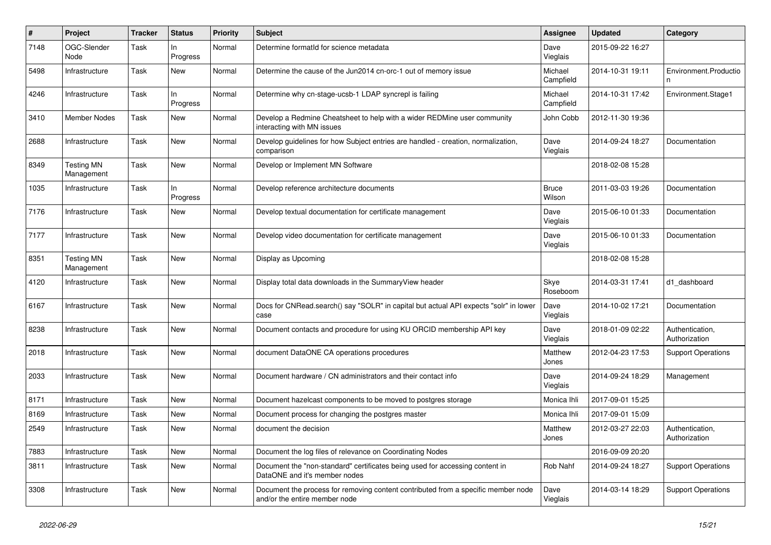| #    | Project                         | <b>Tracker</b> | <b>Status</b>   | <b>Priority</b> | <b>Subject</b>                                                                                                     | <b>Assignee</b>        | <b>Updated</b>   | Category                         |
|------|---------------------------------|----------------|-----------------|-----------------|--------------------------------------------------------------------------------------------------------------------|------------------------|------------------|----------------------------------|
| 7148 | OGC-Slender<br>Node             | Task           | ln.<br>Progress | Normal          | Determine formatid for science metadata                                                                            | Dave<br>Vieglais       | 2015-09-22 16:27 |                                  |
| 5498 | Infrastructure                  | Task           | New             | Normal          | Determine the cause of the Jun2014 cn-orc-1 out of memory issue                                                    | Michael<br>Campfield   | 2014-10-31 19:11 | Environment.Productio<br>n.      |
| 4246 | Infrastructure                  | Task           | In<br>Progress  | Normal          | Determine why cn-stage-ucsb-1 LDAP syncrepl is failing                                                             | Michael<br>Campfield   | 2014-10-31 17:42 | Environment.Stage1               |
| 3410 | <b>Member Nodes</b>             | Task           | <b>New</b>      | Normal          | Develop a Redmine Cheatsheet to help with a wider REDMine user community<br>interacting with MN issues             | John Cobb              | 2012-11-30 19:36 |                                  |
| 2688 | Infrastructure                  | Task           | New             | Normal          | Develop guidelines for how Subject entries are handled - creation, normalization,<br>comparison                    | Dave<br>Vieglais       | 2014-09-24 18:27 | Documentation                    |
| 8349 | <b>Testing MN</b><br>Management | Task           | New             | Normal          | Develop or Implement MN Software                                                                                   |                        | 2018-02-08 15:28 |                                  |
| 1035 | Infrastructure                  | Task           | ln<br>Progress  | Normal          | Develop reference architecture documents                                                                           | <b>Bruce</b><br>Wilson | 2011-03-03 19:26 | Documentation                    |
| 7176 | Infrastructure                  | Task           | New             | Normal          | Develop textual documentation for certificate management                                                           | Dave<br>Vieglais       | 2015-06-10 01:33 | Documentation                    |
| 7177 | Infrastructure                  | Task           | New             | Normal          | Develop video documentation for certificate management                                                             | Dave<br>Vieglais       | 2015-06-10 01:33 | Documentation                    |
| 8351 | <b>Testing MN</b><br>Management | Task           | <b>New</b>      | Normal          | Display as Upcoming                                                                                                |                        | 2018-02-08 15:28 |                                  |
| 4120 | Infrastructure                  | Task           | <b>New</b>      | Normal          | Display total data downloads in the Summary View header                                                            | Skye<br>Roseboom       | 2014-03-31 17:41 | d1 dashboard                     |
| 6167 | Infrastructure                  | Task           | New             | Normal          | Docs for CNRead.search() say "SOLR" in capital but actual API expects "solr" in lower<br>case                      | Dave<br>Vieglais       | 2014-10-02 17:21 | Documentation                    |
| 8238 | Infrastructure                  | Task           | <b>New</b>      | Normal          | Document contacts and procedure for using KU ORCID membership API key                                              | Dave<br>Vieglais       | 2018-01-09 02:22 | Authentication,<br>Authorization |
| 2018 | Infrastructure                  | Task           | <b>New</b>      | Normal          | document DataONE CA operations procedures                                                                          | Matthew<br>Jones       | 2012-04-23 17:53 | <b>Support Operations</b>        |
| 2033 | Infrastructure                  | Task           | <b>New</b>      | Normal          | Document hardware / CN administrators and their contact info                                                       | Dave<br>Vieglais       | 2014-09-24 18:29 | Management                       |
| 8171 | Infrastructure                  | Task           | <b>New</b>      | Normal          | Document hazelcast components to be moved to postgres storage                                                      | Monica Ihli            | 2017-09-01 15:25 |                                  |
| 8169 | Infrastructure                  | Task           | New             | Normal          | Document process for changing the postgres master                                                                  | Monica Ihli            | 2017-09-01 15:09 |                                  |
| 2549 | Infrastructure                  | Task           | <b>New</b>      | Normal          | document the decision                                                                                              | Matthew<br>Jones       | 2012-03-27 22:03 | Authentication,<br>Authorization |
| 7883 | Infrastructure                  | Task           | New             | Normal          | Document the log files of relevance on Coordinating Nodes                                                          |                        | 2016-09-09 20:20 |                                  |
| 3811 | Infrastructure                  | Task           | New             | Normal          | Document the "non-standard" certificates being used for accessing content in<br>DataONE and it's member nodes      | Rob Nahf               | 2014-09-24 18:27 | <b>Support Operations</b>        |
| 3308 | Infrastructure                  | Task           | <b>New</b>      | Normal          | Document the process for removing content contributed from a specific member node<br>and/or the entire member node | Dave<br>Vieglais       | 2014-03-14 18:29 | <b>Support Operations</b>        |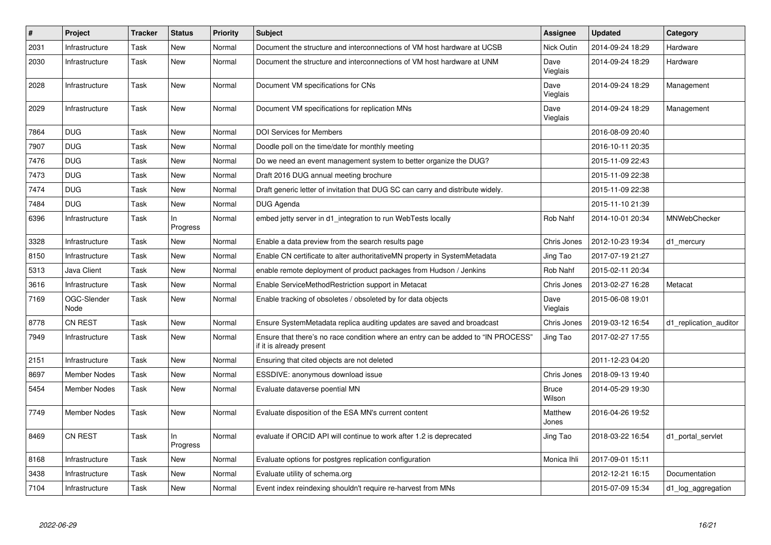| $\vert$ # | Project             | <b>Tracker</b> | <b>Status</b>  | <b>Priority</b> | <b>Subject</b>                                                                                                | <b>Assignee</b>        | <b>Updated</b>   | Category               |
|-----------|---------------------|----------------|----------------|-----------------|---------------------------------------------------------------------------------------------------------------|------------------------|------------------|------------------------|
| 2031      | Infrastructure      | Task           | <b>New</b>     | Normal          | Document the structure and interconnections of VM host hardware at UCSB                                       | Nick Outin             | 2014-09-24 18:29 | Hardware               |
| 2030      | Infrastructure      | Task           | <b>New</b>     | Normal          | Document the structure and interconnections of VM host hardware at UNM                                        | Dave<br>Vieglais       | 2014-09-24 18:29 | Hardware               |
| 2028      | Infrastructure      | Task           | New            | Normal          | Document VM specifications for CNs                                                                            | Dave<br>Vieglais       | 2014-09-24 18:29 | Management             |
| 2029      | Infrastructure      | Task           | <b>New</b>     | Normal          | Document VM specifications for replication MNs                                                                | Dave<br>Vieglais       | 2014-09-24 18:29 | Management             |
| 7864      | <b>DUG</b>          | Task           | New            | Normal          | <b>DOI Services for Members</b>                                                                               |                        | 2016-08-09 20:40 |                        |
| 7907      | <b>DUG</b>          | Task           | <b>New</b>     | Normal          | Doodle poll on the time/date for monthly meeting                                                              |                        | 2016-10-11 20:35 |                        |
| 7476      | <b>DUG</b>          | Task           | <b>New</b>     | Normal          | Do we need an event management system to better organize the DUG?                                             |                        | 2015-11-09 22:43 |                        |
| 7473      | <b>DUG</b>          | Task           | <b>New</b>     | Normal          | Draft 2016 DUG annual meeting brochure                                                                        |                        | 2015-11-09 22:38 |                        |
| 7474      | <b>DUG</b>          | Task           | <b>New</b>     | Normal          | Draft generic letter of invitation that DUG SC can carry and distribute widely.                               |                        | 2015-11-09 22:38 |                        |
| 7484      | <b>DUG</b>          | Task           | <b>New</b>     | Normal          | <b>DUG Agenda</b>                                                                                             |                        | 2015-11-10 21:39 |                        |
| 6396      | Infrastructure      | Task           | In<br>Progress | Normal          | embed jetty server in d1 integration to run WebTests locally                                                  | Rob Nahf               | 2014-10-01 20:34 | MNWebChecker           |
| 3328      | Infrastructure      | Task           | <b>New</b>     | Normal          | Enable a data preview from the search results page                                                            | Chris Jones            | 2012-10-23 19:34 | d1_mercury             |
| 8150      | Infrastructure      | Task           | <b>New</b>     | Normal          | Enable CN certificate to alter authoritativeMN property in SystemMetadata                                     | Jing Tao               | 2017-07-19 21:27 |                        |
| 5313      | Java Client         | Task           | <b>New</b>     | Normal          | enable remote deployment of product packages from Hudson / Jenkins                                            | Rob Nahf               | 2015-02-11 20:34 |                        |
| 3616      | Infrastructure      | Task           | New            | Normal          | Enable ServiceMethodRestriction support in Metacat                                                            | Chris Jones            | 2013-02-27 16:28 | Metacat                |
| 7169      | OGC-Slender<br>Node | Task           | New            | Normal          | Enable tracking of obsoletes / obsoleted by for data objects                                                  | Dave<br>Vieglais       | 2015-06-08 19:01 |                        |
| 8778      | CN REST             | Task           | <b>New</b>     | Normal          | Ensure SystemMetadata replica auditing updates are saved and broadcast                                        | Chris Jones            | 2019-03-12 16:54 | d1 replication auditor |
| 7949      | Infrastructure      | Task           | New            | Normal          | Ensure that there's no race condition where an entry can be added to "IN PROCESS"<br>if it is already present | Jing Tao               | 2017-02-27 17:55 |                        |
| 2151      | Infrastructure      | Task           | New            | Normal          | Ensuring that cited objects are not deleted                                                                   |                        | 2011-12-23 04:20 |                        |
| 8697      | <b>Member Nodes</b> | Task           | New            | Normal          | ESSDIVE: anonymous download issue                                                                             | Chris Jones            | 2018-09-13 19:40 |                        |
| 5454      | <b>Member Nodes</b> | Task           | New            | Normal          | Evaluate dataverse poential MN                                                                                | <b>Bruce</b><br>Wilson | 2014-05-29 19:30 |                        |
| 7749      | <b>Member Nodes</b> | Task           | New            | Normal          | Evaluate disposition of the ESA MN's current content                                                          | Matthew<br>Jones       | 2016-04-26 19:52 |                        |
| 8469      | <b>CN REST</b>      | Task           | In<br>Progress | Normal          | evaluate if ORCID API will continue to work after 1.2 is deprecated                                           | Jing Tao               | 2018-03-22 16:54 | d1 portal servlet      |
| 8168      | Infrastructure      | Task           | <b>New</b>     | Normal          | Evaluate options for postgres replication configuration                                                       | Monica Ihli            | 2017-09-01 15:11 |                        |
| 3438      | Infrastructure      | Task           | New            | Normal          | Evaluate utility of schema.org                                                                                |                        | 2012-12-21 16:15 | Documentation          |
| 7104      | Infrastructure      | Task           | New            | Normal          | Event index reindexing shouldn't require re-harvest from MNs                                                  |                        | 2015-07-09 15:34 | d1_log_aggregation     |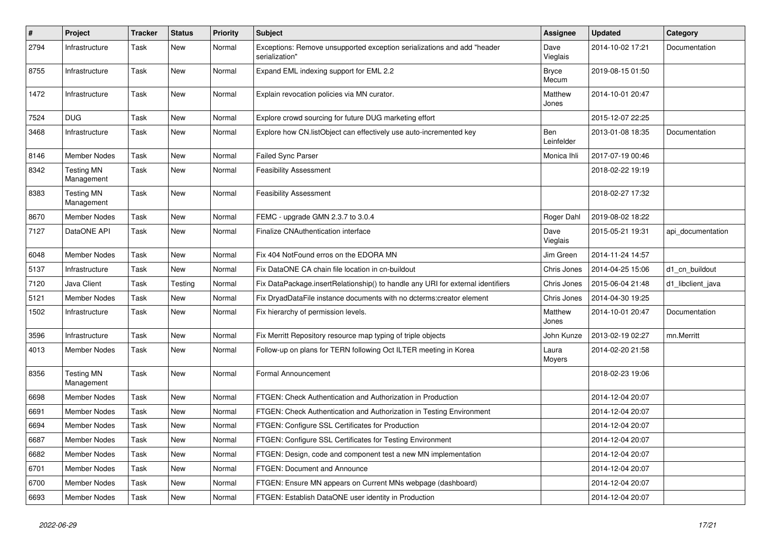| #    | Project                         | Tracker | <b>Status</b> | <b>Priority</b> | Subject                                                                                   | <b>Assignee</b>          | <b>Updated</b>   | Category          |
|------|---------------------------------|---------|---------------|-----------------|-------------------------------------------------------------------------------------------|--------------------------|------------------|-------------------|
| 2794 | Infrastructure                  | Task    | <b>New</b>    | Normal          | Exceptions: Remove unsupported exception serializations and add "header<br>serialization" | Dave<br>Vieglais         | 2014-10-02 17:21 | Documentation     |
| 8755 | Infrastructure                  | Task    | <b>New</b>    | Normal          | Expand EML indexing support for EML 2.2                                                   | <b>Bryce</b><br>Mecum    | 2019-08-15 01:50 |                   |
| 1472 | Infrastructure                  | Task    | <b>New</b>    | Normal          | Explain revocation policies via MN curator.                                               | Matthew<br>Jones         | 2014-10-01 20:47 |                   |
| 7524 | <b>DUG</b>                      | Task    | New           | Normal          | Explore crowd sourcing for future DUG marketing effort                                    |                          | 2015-12-07 22:25 |                   |
| 3468 | Infrastructure                  | Task    | New           | Normal          | Explore how CN.listObject can effectively use auto-incremented key                        | <b>Ben</b><br>Leinfelder | 2013-01-08 18:35 | Documentation     |
| 8146 | <b>Member Nodes</b>             | Task    | <b>New</b>    | Normal          | <b>Failed Sync Parser</b>                                                                 | Monica Ihli              | 2017-07-19 00:46 |                   |
| 8342 | <b>Testing MN</b><br>Management | Task    | New           | Normal          | <b>Feasibility Assessment</b>                                                             |                          | 2018-02-22 19:19 |                   |
| 8383 | <b>Testing MN</b><br>Management | Task    | <b>New</b>    | Normal          | <b>Feasibility Assessment</b>                                                             |                          | 2018-02-27 17:32 |                   |
| 8670 | <b>Member Nodes</b>             | Task    | <b>New</b>    | Normal          | FEMC - upgrade GMN 2.3.7 to 3.0.4                                                         | Roger Dahl               | 2019-08-02 18:22 |                   |
| 7127 | DataONE API                     | Task    | <b>New</b>    | Normal          | Finalize CNAuthentication interface                                                       | Dave<br>Vieglais         | 2015-05-21 19:31 | api_documentation |
| 6048 | <b>Member Nodes</b>             | Task    | New           | Normal          | Fix 404 NotFound erros on the EDORA MN                                                    | Jim Green                | 2014-11-24 14:57 |                   |
| 5137 | Infrastructure                  | Task    | <b>New</b>    | Normal          | Fix DataONE CA chain file location in cn-buildout                                         | Chris Jones              | 2014-04-25 15:06 | d1_cn_buildout    |
| 7120 | Java Client                     | Task    | Testing       | Normal          | Fix DataPackage.insertRelationship() to handle any URI for external identifiers           | Chris Jones              | 2015-06-04 21:48 | d1_libclient_java |
| 5121 | <b>Member Nodes</b>             | Task    | <b>New</b>    | Normal          | Fix DryadDataFile instance documents with no dcterms:creator element                      | Chris Jones              | 2014-04-30 19:25 |                   |
| 1502 | Infrastructure                  | Task    | New           | Normal          | Fix hierarchy of permission levels.                                                       | Matthew<br>Jones         | 2014-10-01 20:47 | Documentation     |
| 3596 | Infrastructure                  | Task    | <b>New</b>    | Normal          | Fix Merritt Repository resource map typing of triple objects                              | John Kunze               | 2013-02-19 02:27 | mn.Merritt        |
| 4013 | Member Nodes                    | Task    | New           | Normal          | Follow-up on plans for TERN following Oct ILTER meeting in Korea                          | Laura<br>Moyers          | 2014-02-20 21:58 |                   |
| 8356 | <b>Testing MN</b><br>Management | Task    | <b>New</b>    | Normal          | Formal Announcement                                                                       |                          | 2018-02-23 19:06 |                   |
| 6698 | Member Nodes                    | Task    | <b>New</b>    | Normal          | FTGEN: Check Authentication and Authorization in Production                               |                          | 2014-12-04 20:07 |                   |
| 6691 | Member Nodes                    | Task    | New           | Normal          | FTGEN: Check Authentication and Authorization in Testing Environment                      |                          | 2014-12-04 20:07 |                   |
| 6694 | <b>Member Nodes</b>             | Task    | New           | Normal          | FTGEN: Configure SSL Certificates for Production                                          |                          | 2014-12-04 20:07 |                   |
| 6687 | Member Nodes                    | Task    | New           | Normal          | FTGEN: Configure SSL Certificates for Testing Environment                                 |                          | 2014-12-04 20:07 |                   |
| 6682 | Member Nodes                    | Task    | New           | Normal          | FTGEN: Design, code and component test a new MN implementation                            |                          | 2014-12-04 20:07 |                   |
| 6701 | Member Nodes                    | Task    | New           | Normal          | FTGEN: Document and Announce                                                              |                          | 2014-12-04 20:07 |                   |
| 6700 | Member Nodes                    | Task    | New           | Normal          | FTGEN: Ensure MN appears on Current MNs webpage (dashboard)                               |                          | 2014-12-04 20:07 |                   |
| 6693 | Member Nodes                    | Task    | New           | Normal          | FTGEN: Establish DataONE user identity in Production                                      |                          | 2014-12-04 20:07 |                   |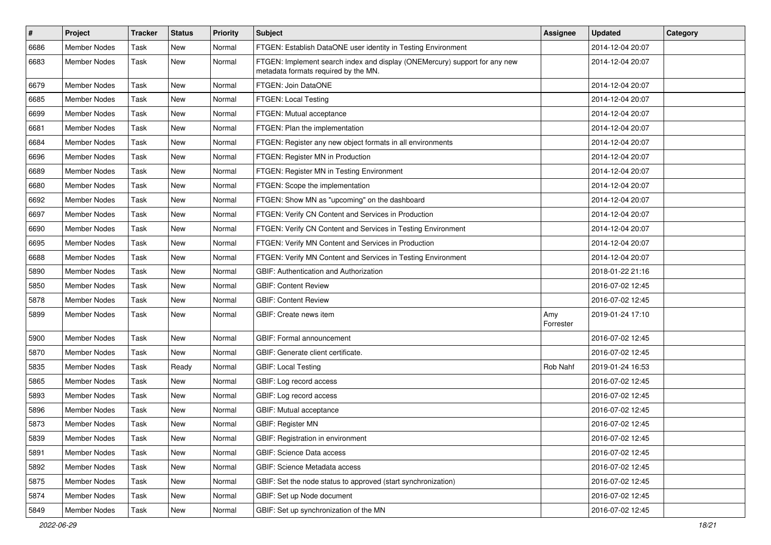| $\vert$ # | Project             | <b>Tracker</b> | <b>Status</b> | <b>Priority</b> | <b>Subject</b>                                                                                                     | <b>Assignee</b>  | <b>Updated</b>   | Category |
|-----------|---------------------|----------------|---------------|-----------------|--------------------------------------------------------------------------------------------------------------------|------------------|------------------|----------|
| 6686      | Member Nodes        | Task           | New           | Normal          | FTGEN: Establish DataONE user identity in Testing Environment                                                      |                  | 2014-12-04 20:07 |          |
| 6683      | <b>Member Nodes</b> | Task           | <b>New</b>    | Normal          | FTGEN: Implement search index and display (ONEMercury) support for any new<br>metadata formats required by the MN. |                  | 2014-12-04 20:07 |          |
| 6679      | Member Nodes        | Task           | <b>New</b>    | Normal          | FTGEN: Join DataONE                                                                                                |                  | 2014-12-04 20:07 |          |
| 6685      | <b>Member Nodes</b> | Task           | <b>New</b>    | Normal          | FTGEN: Local Testing                                                                                               |                  | 2014-12-04 20:07 |          |
| 6699      | <b>Member Nodes</b> | Task           | <b>New</b>    | Normal          | FTGEN: Mutual acceptance                                                                                           |                  | 2014-12-04 20:07 |          |
| 6681      | <b>Member Nodes</b> | Task           | <b>New</b>    | Normal          | FTGEN: Plan the implementation                                                                                     |                  | 2014-12-04 20:07 |          |
| 6684      | <b>Member Nodes</b> | Task           | New           | Normal          | FTGEN: Register any new object formats in all environments                                                         |                  | 2014-12-04 20:07 |          |
| 6696      | <b>Member Nodes</b> | Task           | <b>New</b>    | Normal          | FTGEN: Register MN in Production                                                                                   |                  | 2014-12-04 20:07 |          |
| 6689      | <b>Member Nodes</b> | Task           | <b>New</b>    | Normal          | FTGEN: Register MN in Testing Environment                                                                          |                  | 2014-12-04 20:07 |          |
| 6680      | <b>Member Nodes</b> | Task           | New           | Normal          | FTGEN: Scope the implementation                                                                                    |                  | 2014-12-04 20:07 |          |
| 6692      | <b>Member Nodes</b> | Task           | <b>New</b>    | Normal          | FTGEN: Show MN as "upcoming" on the dashboard                                                                      |                  | 2014-12-04 20:07 |          |
| 6697      | Member Nodes        | Task           | <b>New</b>    | Normal          | FTGEN: Verify CN Content and Services in Production                                                                |                  | 2014-12-04 20:07 |          |
| 6690      | <b>Member Nodes</b> | Task           | New           | Normal          | FTGEN: Verify CN Content and Services in Testing Environment                                                       |                  | 2014-12-04 20:07 |          |
| 6695      | <b>Member Nodes</b> | Task           | <b>New</b>    | Normal          | FTGEN: Verify MN Content and Services in Production                                                                |                  | 2014-12-04 20:07 |          |
| 6688      | <b>Member Nodes</b> | Task           | New           | Normal          | FTGEN: Verify MN Content and Services in Testing Environment                                                       |                  | 2014-12-04 20:07 |          |
| 5890      | <b>Member Nodes</b> | Task           | <b>New</b>    | Normal          | GBIF: Authentication and Authorization                                                                             |                  | 2018-01-22 21:16 |          |
| 5850      | Member Nodes        | Task           | <b>New</b>    | Normal          | <b>GBIF: Content Review</b>                                                                                        |                  | 2016-07-02 12:45 |          |
| 5878      | <b>Member Nodes</b> | Task           | <b>New</b>    | Normal          | <b>GBIF: Content Review</b>                                                                                        |                  | 2016-07-02 12:45 |          |
| 5899      | <b>Member Nodes</b> | Task           | <b>New</b>    | Normal          | GBIF: Create news item                                                                                             | Amy<br>Forrester | 2019-01-24 17:10 |          |
| 5900      | Member Nodes        | Task           | <b>New</b>    | Normal          | GBIF: Formal announcement                                                                                          |                  | 2016-07-02 12:45 |          |
| 5870      | <b>Member Nodes</b> | Task           | New           | Normal          | GBIF: Generate client certificate.                                                                                 |                  | 2016-07-02 12:45 |          |
| 5835      | <b>Member Nodes</b> | Task           | Ready         | Normal          | <b>GBIF: Local Testing</b>                                                                                         | Rob Nahf         | 2019-01-24 16:53 |          |
| 5865      | <b>Member Nodes</b> | Task           | <b>New</b>    | Normal          | GBIF: Log record access                                                                                            |                  | 2016-07-02 12:45 |          |
| 5893      | Member Nodes        | Task           | <b>New</b>    | Normal          | GBIF: Log record access                                                                                            |                  | 2016-07-02 12:45 |          |
| 5896      | Member Nodes        | Task           | New           | Normal          | GBIF: Mutual acceptance                                                                                            |                  | 2016-07-02 12:45 |          |
| 5873      | <b>Member Nodes</b> | Task           | <b>New</b>    | Normal          | <b>GBIF: Register MN</b>                                                                                           |                  | 2016-07-02 12:45 |          |
| 5839      | Member Nodes        | Task           | New           | Normal          | GBIF: Registration in environment                                                                                  |                  | 2016-07-02 12:45 |          |
| 5891      | Member Nodes        | Task           | New           | Normal          | GBIF: Science Data access                                                                                          |                  | 2016-07-02 12:45 |          |
| 5892      | Member Nodes        | Task           | New           | Normal          | GBIF: Science Metadata access                                                                                      |                  | 2016-07-02 12:45 |          |
| 5875      | Member Nodes        | Task           | New           | Normal          | GBIF: Set the node status to approved (start synchronization)                                                      |                  | 2016-07-02 12:45 |          |
| 5874      | Member Nodes        | Task           | New           | Normal          | GBIF: Set up Node document                                                                                         |                  | 2016-07-02 12:45 |          |
| 5849      | Member Nodes        | Task           | New           | Normal          | GBIF: Set up synchronization of the MN                                                                             |                  | 2016-07-02 12:45 |          |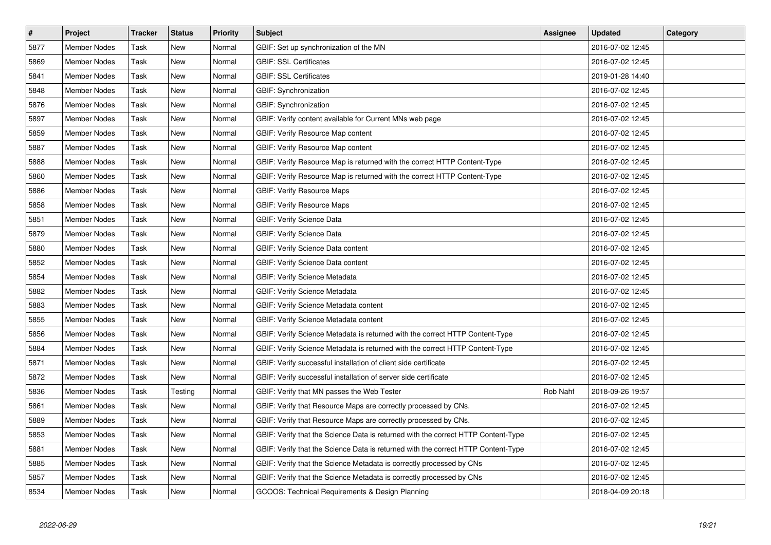| $\vert$ # | <b>Project</b>      | <b>Tracker</b> | <b>Status</b> | <b>Priority</b> | <b>Subject</b>                                                                    | Assignee | <b>Updated</b>   | Category |
|-----------|---------------------|----------------|---------------|-----------------|-----------------------------------------------------------------------------------|----------|------------------|----------|
| 5877      | <b>Member Nodes</b> | Task           | <b>New</b>    | Normal          | GBIF: Set up synchronization of the MN                                            |          | 2016-07-02 12:45 |          |
| 5869      | <b>Member Nodes</b> | Task           | <b>New</b>    | Normal          | <b>GBIF: SSL Certificates</b>                                                     |          | 2016-07-02 12:45 |          |
| 5841      | <b>Member Nodes</b> | Task           | <b>New</b>    | Normal          | <b>GBIF: SSL Certificates</b>                                                     |          | 2019-01-28 14:40 |          |
| 5848      | <b>Member Nodes</b> | Task           | <b>New</b>    | Normal          | GBIF: Synchronization                                                             |          | 2016-07-02 12:45 |          |
| 5876      | <b>Member Nodes</b> | Task           | <b>New</b>    | Normal          | <b>GBIF: Synchronization</b>                                                      |          | 2016-07-02 12:45 |          |
| 5897      | <b>Member Nodes</b> | Task           | <b>New</b>    | Normal          | GBIF: Verify content available for Current MNs web page                           |          | 2016-07-02 12:45 |          |
| 5859      | <b>Member Nodes</b> | Task           | <b>New</b>    | Normal          | <b>GBIF: Verify Resource Map content</b>                                          |          | 2016-07-02 12:45 |          |
| 5887      | <b>Member Nodes</b> | Task           | New           | Normal          | GBIF: Verify Resource Map content                                                 |          | 2016-07-02 12:45 |          |
| 5888      | <b>Member Nodes</b> | Task           | <b>New</b>    | Normal          | GBIF: Verify Resource Map is returned with the correct HTTP Content-Type          |          | 2016-07-02 12:45 |          |
| 5860      | <b>Member Nodes</b> | Task           | <b>New</b>    | Normal          | GBIF: Verify Resource Map is returned with the correct HTTP Content-Type          |          | 2016-07-02 12:45 |          |
| 5886      | <b>Member Nodes</b> | Task           | <b>New</b>    | Normal          | <b>GBIF: Verify Resource Maps</b>                                                 |          | 2016-07-02 12:45 |          |
| 5858      | <b>Member Nodes</b> | Task           | <b>New</b>    | Normal          | <b>GBIF: Verify Resource Maps</b>                                                 |          | 2016-07-02 12:45 |          |
| 5851      | <b>Member Nodes</b> | Task           | <b>New</b>    | Normal          | GBIF: Verify Science Data                                                         |          | 2016-07-02 12:45 |          |
| 5879      | <b>Member Nodes</b> | Task           | <b>New</b>    | Normal          | <b>GBIF: Verify Science Data</b>                                                  |          | 2016-07-02 12:45 |          |
| 5880      | Member Nodes        | Task           | New           | Normal          | GBIF: Verify Science Data content                                                 |          | 2016-07-02 12:45 |          |
| 5852      | Member Nodes        | Task           | New           | Normal          | GBIF: Verify Science Data content                                                 |          | 2016-07-02 12:45 |          |
| 5854      | <b>Member Nodes</b> | Task           | <b>New</b>    | Normal          | <b>GBIF: Verify Science Metadata</b>                                              |          | 2016-07-02 12:45 |          |
| 5882      | Member Nodes        | Task           | <b>New</b>    | Normal          | <b>GBIF: Verify Science Metadata</b>                                              |          | 2016-07-02 12:45 |          |
| 5883      | <b>Member Nodes</b> | Task           | <b>New</b>    | Normal          | GBIF: Verify Science Metadata content                                             |          | 2016-07-02 12:45 |          |
| 5855      | <b>Member Nodes</b> | Task           | <b>New</b>    | Normal          | GBIF: Verify Science Metadata content                                             |          | 2016-07-02 12:45 |          |
| 5856      | <b>Member Nodes</b> | Task           | <b>New</b>    | Normal          | GBIF: Verify Science Metadata is returned with the correct HTTP Content-Type      |          | 2016-07-02 12:45 |          |
| 5884      | <b>Member Nodes</b> | Task           | <b>New</b>    | Normal          | GBIF: Verify Science Metadata is returned with the correct HTTP Content-Type      |          | 2016-07-02 12:45 |          |
| 5871      | Member Nodes        | Task           | <b>New</b>    | Normal          | GBIF: Verify successful installation of client side certificate                   |          | 2016-07-02 12:45 |          |
| 5872      | <b>Member Nodes</b> | Task           | <b>New</b>    | Normal          | GBIF: Verify successful installation of server side certificate                   |          | 2016-07-02 12:45 |          |
| 5836      | <b>Member Nodes</b> | Task           | Testing       | Normal          | GBIF: Verify that MN passes the Web Tester                                        | Rob Nahf | 2018-09-26 19:57 |          |
| 5861      | <b>Member Nodes</b> | Task           | <b>New</b>    | Normal          | GBIF: Verify that Resource Maps are correctly processed by CNs.                   |          | 2016-07-02 12:45 |          |
| 5889      | <b>Member Nodes</b> | Task           | <b>New</b>    | Normal          | GBIF: Verify that Resource Maps are correctly processed by CNs.                   |          | 2016-07-02 12:45 |          |
| 5853      | <b>Member Nodes</b> | Task           | <b>New</b>    | Normal          | GBIF: Verify that the Science Data is returned with the correct HTTP Content-Type |          | 2016-07-02 12:45 |          |
| 5881      | <b>Member Nodes</b> | Task           | <b>New</b>    | Normal          | GBIF: Verify that the Science Data is returned with the correct HTTP Content-Type |          | 2016-07-02 12:45 |          |
| 5885      | Member Nodes        | Task           | <b>New</b>    | Normal          | GBIF: Verify that the Science Metadata is correctly processed by CNs              |          | 2016-07-02 12:45 |          |
| 5857      | <b>Member Nodes</b> | Task           | New           | Normal          | GBIF: Verify that the Science Metadata is correctly processed by CNs              |          | 2016-07-02 12:45 |          |
| 8534      | <b>Member Nodes</b> | Task           | <b>New</b>    | Normal          | GCOOS: Technical Requirements & Design Planning                                   |          | 2018-04-09 20:18 |          |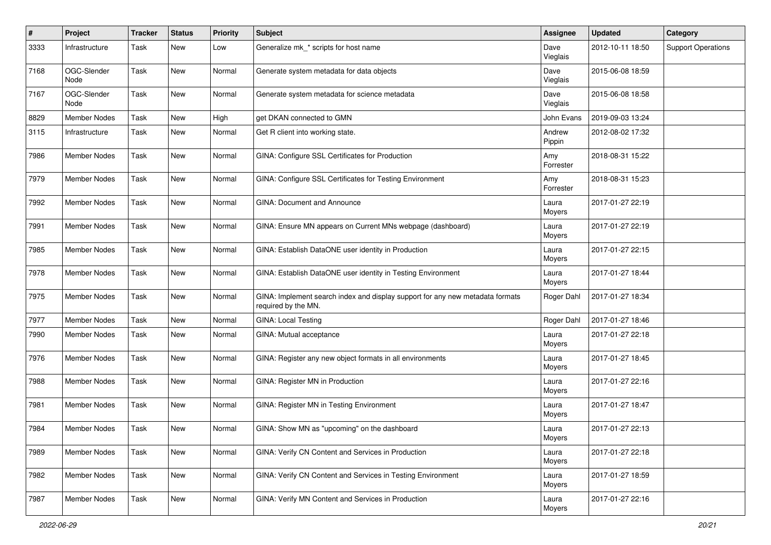| #    | Project             | <b>Tracker</b> | <b>Status</b> | <b>Priority</b> | Subject                                                                                              | <b>Assignee</b>  | <b>Updated</b>   | Category                  |
|------|---------------------|----------------|---------------|-----------------|------------------------------------------------------------------------------------------------------|------------------|------------------|---------------------------|
| 3333 | Infrastructure      | Task           | New           | Low             | Generalize mk * scripts for host name                                                                | Dave<br>Vieglais | 2012-10-11 18:50 | <b>Support Operations</b> |
| 7168 | OGC-Slender<br>Node | Task           | New           | Normal          | Generate system metadata for data objects                                                            | Dave<br>Vieglais | 2015-06-08 18:59 |                           |
| 7167 | OGC-Slender<br>Node | Task           | New           | Normal          | Generate system metadata for science metadata                                                        | Dave<br>Vieglais | 2015-06-08 18:58 |                           |
| 8829 | <b>Member Nodes</b> | Task           | New           | High            | get DKAN connected to GMN                                                                            | John Evans       | 2019-09-03 13:24 |                           |
| 3115 | Infrastructure      | Task           | New           | Normal          | Get R client into working state.                                                                     | Andrew<br>Pippin | 2012-08-02 17:32 |                           |
| 7986 | <b>Member Nodes</b> | Task           | New           | Normal          | GINA: Configure SSL Certificates for Production                                                      | Amy<br>Forrester | 2018-08-31 15:22 |                           |
| 7979 | Member Nodes        | Task           | New           | Normal          | GINA: Configure SSL Certificates for Testing Environment                                             | Amy<br>Forrester | 2018-08-31 15:23 |                           |
| 7992 | <b>Member Nodes</b> | Task           | New           | Normal          | <b>GINA: Document and Announce</b>                                                                   | Laura<br>Moyers  | 2017-01-27 22:19 |                           |
| 7991 | <b>Member Nodes</b> | Task           | New           | Normal          | GINA: Ensure MN appears on Current MNs webpage (dashboard)                                           | Laura<br>Moyers  | 2017-01-27 22:19 |                           |
| 7985 | <b>Member Nodes</b> | Task           | New           | Normal          | GINA: Establish DataONE user identity in Production                                                  | Laura<br>Moyers  | 2017-01-27 22:15 |                           |
| 7978 | Member Nodes        | Task           | New           | Normal          | GINA: Establish DataONE user identity in Testing Environment                                         | Laura<br>Moyers  | 2017-01-27 18:44 |                           |
| 7975 | Member Nodes        | Task           | New           | Normal          | GINA: Implement search index and display support for any new metadata formats<br>required by the MN. | Roger Dahl       | 2017-01-27 18:34 |                           |
| 7977 | Member Nodes        | Task           | New           | Normal          | GINA: Local Testing                                                                                  | Roger Dahl       | 2017-01-27 18:46 |                           |
| 7990 | Member Nodes        | Task           | New           | Normal          | GINA: Mutual acceptance                                                                              | Laura<br>Moyers  | 2017-01-27 22:18 |                           |
| 7976 | <b>Member Nodes</b> | Task           | New           | Normal          | GINA: Register any new object formats in all environments                                            | Laura<br>Moyers  | 2017-01-27 18:45 |                           |
| 7988 | Member Nodes        | Task           | New           | Normal          | GINA: Register MN in Production                                                                      | Laura<br>Moyers  | 2017-01-27 22:16 |                           |
| 7981 | Member Nodes        | Task           | New           | Normal          | GINA: Register MN in Testing Environment                                                             | Laura<br>Moyers  | 2017-01-27 18:47 |                           |
| 7984 | Member Nodes        | Task           | New           | Normal          | GINA: Show MN as "upcoming" on the dashboard                                                         | Laura<br>Moyers  | 2017-01-27 22:13 |                           |
| 7989 | Member Nodes        | Task           | New           | Normal          | GINA: Verify CN Content and Services in Production                                                   | Laura<br>Moyers  | 2017-01-27 22:18 |                           |
| 7982 | Member Nodes        | Task           | New           | Normal          | GINA: Verify CN Content and Services in Testing Environment                                          | Laura<br>Moyers  | 2017-01-27 18:59 |                           |
| 7987 | Member Nodes        | Task           | New           | Normal          | GINA: Verify MN Content and Services in Production                                                   | Laura<br>Moyers  | 2017-01-27 22:16 |                           |